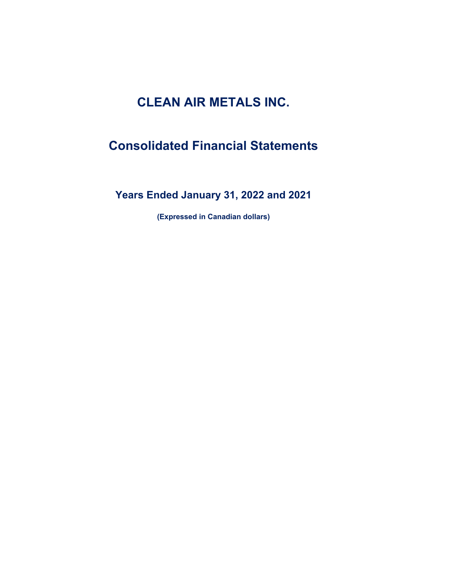# **CLEAN AIR METALS INC.**

# **Consolidated Financial Statements**

**Years Ended January 31, 2022 and 2021** 

**(Expressed in Canadian dollars)**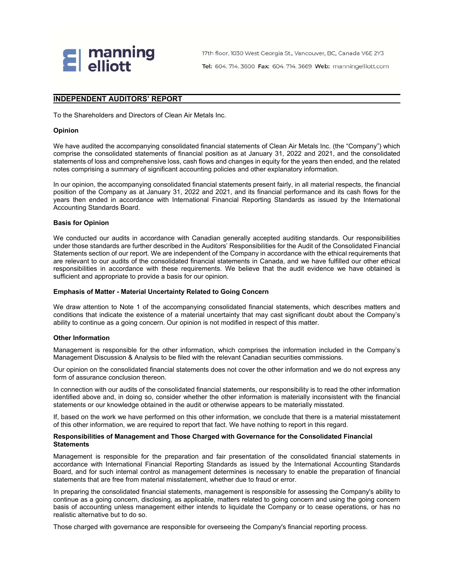

17th floor, 1030 West Georgia St., Vancouver, BC, Canada V6E 2Y3

Tel: 604.714.3600 Fax: 604.714.3669 Web: manningelliott.com

#### **INDEPENDENT AUDITORS' REPORT**

To the Shareholders and Directors of Clean Air Metals Inc.

#### **Opinion**

We have audited the accompanying consolidated financial statements of Clean Air Metals Inc. (the "Company") which comprise the consolidated statements of financial position as at January 31, 2022 and 2021, and the consolidated statements of loss and comprehensive loss, cash flows and changes in equity for the years then ended, and the related notes comprising a summary of significant accounting policies and other explanatory information.

In our opinion, the accompanying consolidated financial statements present fairly, in all material respects, the financial position of the Company as at January 31, 2022 and 2021, and its financial performance and its cash flows for the years then ended in accordance with International Financial Reporting Standards as issued by the International Accounting Standards Board.

#### **Basis for Opinion**

We conducted our audits in accordance with Canadian generally accepted auditing standards. Our responsibilities under those standards are further described in the Auditors' Responsibilities for the Audit of the Consolidated Financial Statements section of our report. We are independent of the Company in accordance with the ethical requirements that are relevant to our audits of the consolidated financial statements in Canada, and we have fulfilled our other ethical responsibilities in accordance with these requirements. We believe that the audit evidence we have obtained is sufficient and appropriate to provide a basis for our opinion.

#### **Emphasis of Matter - Material Uncertainty Related to Going Concern**

We draw attention to Note 1 of the accompanying consolidated financial statements, which describes matters and conditions that indicate the existence of a material uncertainty that may cast significant doubt about the Company's ability to continue as a going concern. Our opinion is not modified in respect of this matter.

#### **Other Information**

Management is responsible for the other information, which comprises the information included in the Company's Management Discussion & Analysis to be filed with the relevant Canadian securities commissions.

Our opinion on the consolidated financial statements does not cover the other information and we do not express any form of assurance conclusion thereon.

In connection with our audits of the consolidated financial statements, our responsibility is to read the other information identified above and, in doing so, consider whether the other information is materially inconsistent with the financial statements or our knowledge obtained in the audit or otherwise appears to be materially misstated.

If, based on the work we have performed on this other information, we conclude that there is a material misstatement of this other information, we are required to report that fact. We have nothing to report in this regard.

#### **Responsibilities of Management and Those Charged with Governance for the Consolidated Financial Statements**

Management is responsible for the preparation and fair presentation of the consolidated financial statements in accordance with International Financial Reporting Standards as issued by the International Accounting Standards Board, and for such internal control as management determines is necessary to enable the preparation of financial statements that are free from material misstatement, whether due to fraud or error.

In preparing the consolidated financial statements, management is responsible for assessing the Company's ability to continue as a going concern, disclosing, as applicable, matters related to going concern and using the going concern basis of accounting unless management either intends to liquidate the Company or to cease operations, or has no realistic alternative but to do so.

Those charged with governance are responsible for overseeing the Company's financial reporting process.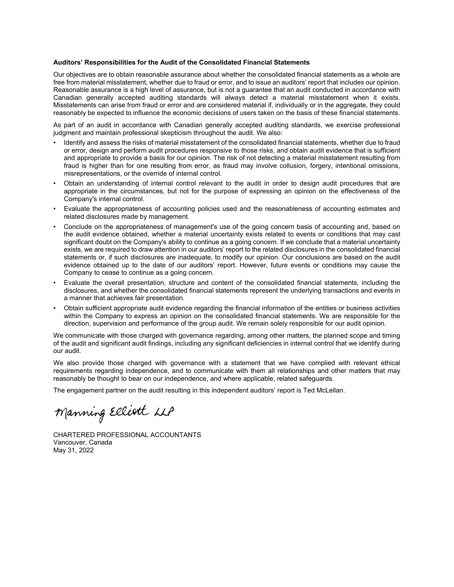#### **Auditors' Responsibilities for the Audit of the Consolidated Financial Statements**

Our objectives are to obtain reasonable assurance about whether the consolidated financial statements as a whole are free from material misstatement, whether due to fraud or error, and to issue an auditors' report that includes our opinion. Reasonable assurance is a high level of assurance, but is not a guarantee that an audit conducted in accordance with Canadian generally accepted auditing standards will always detect a material misstatement when it exists. Misstatements can arise from fraud or error and are considered material if, individually or in the aggregate, they could reasonably be expected to influence the economic decisions of users taken on the basis of these financial statements.

As part of an audit in accordance with Canadian generally accepted auditing standards, we exercise professional judgment and maintain professional skepticism throughout the audit. We also:

- Identify and assess the risks of material misstatement of the consolidated financial statements, whether due to fraud or error, design and perform audit procedures responsive to those risks, and obtain audit evidence that is sufficient and appropriate to provide a basis for our opinion. The risk of not detecting a material misstatement resulting from fraud is higher than for one resulting from error, as fraud may involve collusion, forgery, intentional omissions, misrepresentations, or the override of internal control.
- Obtain an understanding of internal control relevant to the audit in order to design audit procedures that are appropriate in the circumstances, but not for the purpose of expressing an opinion on the effectiveness of the Company's internal control.
- Evaluate the appropriateness of accounting policies used and the reasonableness of accounting estimates and related disclosures made by management.
- Conclude on the appropriateness of management's use of the going concern basis of accounting and, based on the audit evidence obtained, whether a material uncertainty exists related to events or conditions that may cast significant doubt on the Company's ability to continue as a going concern. If we conclude that a material uncertainty exists, we are required to draw attention in our auditors' report to the related disclosures in the consolidated financial statements or, if such disclosures are inadequate, to modify our opinion. Our conclusions are based on the audit evidence obtained up to the date of our auditors' report. However, future events or conditions may cause the Company to cease to continue as a going concern.
- Evaluate the overall presentation, structure and content of the consolidated financial statements, including the disclosures, and whether the consolidated financial statements represent the underlying transactions and events in a manner that achieves fair presentation.
- Obtain sufficient appropriate audit evidence regarding the financial information of the entities or business activities within the Company to express an opinion on the consolidated financial statements. We are responsible for the direction, supervision and performance of the group audit. We remain solely responsible for our audit opinion.

We communicate with those charged with governance regarding, among other matters, the planned scope and timing of the audit and significant audit findings, including any significant deficiencies in internal control that we identify during our audit.

We also provide those charged with governance with a statement that we have complied with relevant ethical requirements regarding independence, and to communicate with them all relationships and other matters that may reasonably be thought to bear on our independence, and where applicable, related safeguards.

The engagement partner on the audit resulting in this independent auditors' report is Ted McLellan.

Manning Elliott LLP

CHARTERED PROFESSIONAL ACCOUNTANTS Vancouver, Canada May 31, 2022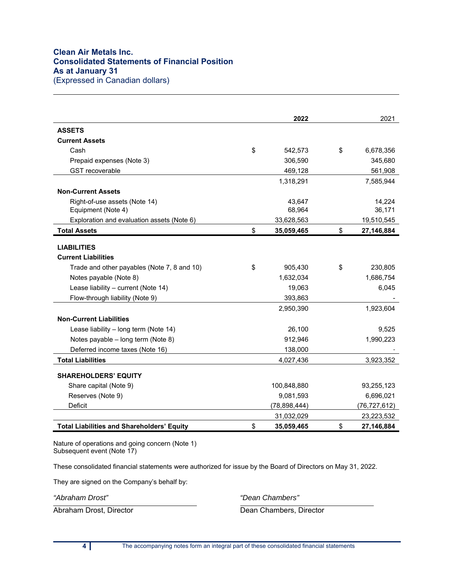# **Clean Air Metals Inc. Consolidated Statements of Financial Position As at January 31**  (Expressed in Canadian dollars)

|                                                   | 2022             | 2021             |
|---------------------------------------------------|------------------|------------------|
| <b>ASSETS</b>                                     |                  |                  |
| <b>Current Assets</b>                             |                  |                  |
| Cash                                              | \$<br>542,573    | \$<br>6,678,356  |
| Prepaid expenses (Note 3)                         | 306,590          | 345,680          |
| <b>GST</b> recoverable                            | 469,128          | 561,908          |
|                                                   | 1,318,291        | 7,585,944        |
| <b>Non-Current Assets</b>                         |                  |                  |
| Right-of-use assets (Note 14)                     | 43,647           | 14,224           |
| Equipment (Note 4)                                | 68,964           | 36,171           |
| Exploration and evaluation assets (Note 6)        | 33,628,563       | 19,510,545       |
| <b>Total Assets</b>                               | \$<br>35,059,465 | \$<br>27,146,884 |
|                                                   |                  |                  |
| <b>LIABILITIES</b>                                |                  |                  |
| <b>Current Liabilities</b>                        |                  |                  |
| Trade and other payables (Note 7, 8 and 10)       | \$<br>905,430    | \$<br>230,805    |
| Notes payable (Note 8)                            | 1,632,034        | 1,686,754        |
| Lease liability - current (Note 14)               | 19,063           | 6,045            |
| Flow-through liability (Note 9)                   | 393,863          |                  |
|                                                   | 2,950,390        | 1,923,604        |
| <b>Non-Current Liabilities</b>                    |                  |                  |
| Lease liability - long term (Note 14)             | 26,100           | 9,525            |
| Notes payable - long term (Note 8)                | 912,946          | 1,990,223        |
| Deferred income taxes (Note 16)                   | 138,000          |                  |
| <b>Total Liabilities</b>                          | 4,027,436        | 3,923,352        |
|                                                   |                  |                  |
| <b>SHAREHOLDERS' EQUITY</b>                       |                  |                  |
| Share capital (Note 9)                            | 100,848,880      | 93,255,123       |
| Reserves (Note 9)                                 | 9,081,593        | 6,696,021        |
| Deficit                                           | (78, 898, 444)   | (76, 727, 612)   |
|                                                   | 31,032,029       | 23,223,532       |
| <b>Total Liabilities and Shareholders' Equity</b> | \$<br>35,059,465 | \$<br>27,146,884 |

Nature of operations and going concern (Note 1) Subsequent event (Note 17)

These consolidated financial statements were authorized for issue by the Board of Directors on May 31, 2022.

They are signed on the Company's behalf by:

*"Abraham Drost" "Dean Chambers"* 

Abraham Drost, Director **Dean Chambers**, Director Dean Chambers, Director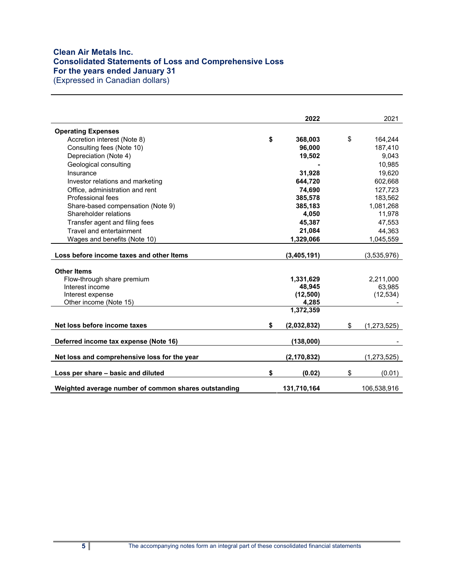# **Clean Air Metals Inc. Consolidated Statements of Loss and Comprehensive Loss For the years ended January 31**  (Expressed in Canadian dollars)

|                                                      | 2022              | 2021              |
|------------------------------------------------------|-------------------|-------------------|
| <b>Operating Expenses</b>                            |                   |                   |
| Accretion interest (Note 8)                          | \$<br>368,003     | \$<br>164,244     |
| Consulting fees (Note 10)                            | 96,000            | 187,410           |
| Depreciation (Note 4)                                | 19,502            | 9,043             |
| Geological consulting                                |                   | 10,985            |
| Insurance                                            | 31,928            | 19,620            |
| Investor relations and marketing                     | 644,720           | 602,668           |
| Office, administration and rent                      | 74,690            | 127,723           |
| Professional fees                                    | 385,578           | 183,562           |
| Share-based compensation (Note 9)                    | 385,183           | 1,081,268         |
| Shareholder relations                                | 4,050             | 11,978            |
| Transfer agent and filing fees                       | 45,387            | 47,553            |
| Travel and entertainment                             | 21,084            | 44,363            |
| Wages and benefits (Note 10)                         | 1,329,066         | 1,045,559         |
|                                                      |                   |                   |
| Loss before income taxes and other Items             | (3,405,191)       | (3,535,976)       |
| <b>Other Items</b>                                   |                   |                   |
| Flow-through share premium                           | 1,331,629         | 2,211,000         |
| Interest income                                      | 48,945            | 63,985            |
| Interest expense                                     | (12, 500)         | (12, 534)         |
| Other income (Note 15)                               | 4,285             |                   |
|                                                      | 1,372,359         |                   |
|                                                      |                   |                   |
| Net loss before income taxes                         | \$<br>(2,032,832) | \$<br>(1,273,525) |
| Deferred income tax expense (Note 16)                | (138,000)         |                   |
|                                                      |                   |                   |
| Net loss and comprehensive loss for the year         | (2, 170, 832)     | (1, 273, 525)     |
| Loss per share - basic and diluted                   | \$<br>(0.02)      | \$<br>(0.01)      |
|                                                      |                   |                   |
| Weighted average number of common shares outstanding | 131,710,164       | 106,538,916       |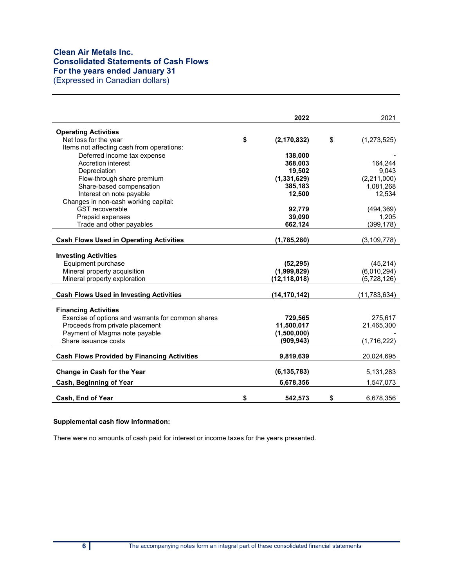# **Clean Air Metals Inc. Consolidated Statements of Cash Flows For the years ended January 31**  (Expressed in Canadian dollars)

|                                                                                   | 2022                | 2021              |
|-----------------------------------------------------------------------------------|---------------------|-------------------|
|                                                                                   |                     |                   |
| <b>Operating Activities</b><br>Net loss for the year                              | \$<br>(2, 170, 832) | \$<br>(1,273,525) |
| Items not affecting cash from operations:                                         |                     |                   |
| Deferred income tax expense                                                       | 138,000             |                   |
| Accretion interest                                                                | 368,003             | 164.244           |
| Depreciation                                                                      | 19,502              | 9,043             |
| Flow-through share premium                                                        | (1, 331, 629)       | (2,211,000)       |
| Share-based compensation                                                          | 385,183             | 1,081,268         |
| Interest on note payable                                                          | 12,500              | 12,534            |
| Changes in non-cash working capital:                                              |                     |                   |
| <b>GST</b> recoverable                                                            | 92,779              | (494, 369)        |
| Prepaid expenses                                                                  | 39,090              | 1,205             |
| Trade and other payables                                                          | 662,124             | (399, 178)        |
| <b>Cash Flows Used in Operating Activities</b>                                    | (1,785,280)         | (3, 109, 778)     |
|                                                                                   |                     |                   |
| <b>Investing Activities</b>                                                       |                     |                   |
| Equipment purchase                                                                | (52, 295)           | (45, 214)         |
| Mineral property acquisition                                                      | (1,999,829)         | (6,010,294)       |
| Mineral property exploration                                                      | (12, 118, 018)      | (5,728,126)       |
| <b>Cash Flows Used in Investing Activities</b>                                    | (14, 170, 142)      | (11, 783, 634)    |
|                                                                                   |                     |                   |
| <b>Financing Activities</b><br>Exercise of options and warrants for common shares | 729,565             | 275,617           |
| Proceeds from private placement                                                   | 11,500,017          | 21,465,300        |
| Payment of Magma note payable                                                     | (1,500,000)         |                   |
| Share issuance costs                                                              | (909, 943)          | (1,716,222)       |
|                                                                                   |                     |                   |
| <b>Cash Flows Provided by Financing Activities</b>                                | 9,819,639           | 20,024,695        |
| <b>Change in Cash for the Year</b>                                                | (6, 135, 783)       | 5,131,283         |
| Cash, Beginning of Year                                                           | 6,678,356           | 1,547,073         |
| Cash, End of Year                                                                 | \$<br>542,573       | \$<br>6,678,356   |

# **Supplemental cash flow information:**

There were no amounts of cash paid for interest or income taxes for the years presented.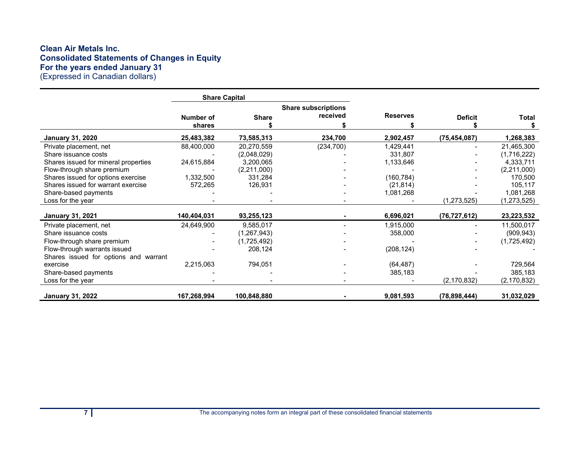# **Clean Air Metals Inc. Consolidated Statements of Changes in Equity For the years ended January 31**  (Expressed in Canadian dollars)

|                                       | <b>Share Capital</b> |              |                                        |                 |                |               |
|---------------------------------------|----------------------|--------------|----------------------------------------|-----------------|----------------|---------------|
|                                       | Number of            | <b>Share</b> | <b>Share subscriptions</b><br>received | <b>Reserves</b> | <b>Deficit</b> | <b>Total</b>  |
|                                       | shares               |              |                                        |                 |                |               |
| <b>January 31, 2020</b>               | 25,483,382           | 73,585,313   | 234,700                                | 2,902,457       | (75, 454, 087) | 1,268,383     |
| Private placement, net                | 88,400,000           | 20,270,559   | (234, 700)                             | 1,429,441       |                | 21,465,300    |
| Share issuance costs                  |                      | (2,048,029)  |                                        | 331,807         |                | (1,716,222)   |
| Shares issued for mineral properties  | 24,615,884           | 3,200,065    |                                        | 1,133,646       |                | 4,333,711     |
| Flow-through share premium            |                      | (2,211,000)  |                                        |                 |                | (2,211,000)   |
| Shares issued for options exercise    | 1,332,500            | 331,284      |                                        | (160, 784)      |                | 170,500       |
| Shares issued for warrant exercise    | 572,265              | 126,931      |                                        | (21, 814)       |                | 105,117       |
| Share-based payments                  |                      |              |                                        | 1,081,268       |                | 1,081,268     |
| Loss for the year                     |                      |              |                                        |                 | (1, 273, 525)  | (1, 273, 525) |
| <b>January 31, 2021</b>               | 140,404,031          | 93,255,123   |                                        | 6,696,021       | (76, 727, 612) | 23,223,532    |
| Private placement, net                | 24,649,900           | 9,585,017    |                                        | 1,915,000       |                | 11,500,017    |
| Share issuance costs                  |                      | (1,267,943)  |                                        | 358,000         |                | (909, 943)    |
| Flow-through share premium            |                      | (1,725,492)  |                                        |                 |                | (1,725,492)   |
| Flow-through warrants issued          |                      | 208,124      |                                        | (208, 124)      |                |               |
| Shares issued for options and warrant |                      |              |                                        |                 |                |               |
| exercise                              | 2,215,063            | 794,051      |                                        | (64, 487)       |                | 729,564       |
| Share-based payments                  |                      |              |                                        | 385,183         |                | 385,183       |
| Loss for the year                     |                      |              |                                        |                 | (2, 170, 832)  | (2, 170, 832) |
| <b>January 31, 2022</b>               | 167,268,994          | 100,848,880  |                                        | 9,081,593       | (78, 898, 444) | 31,032,029    |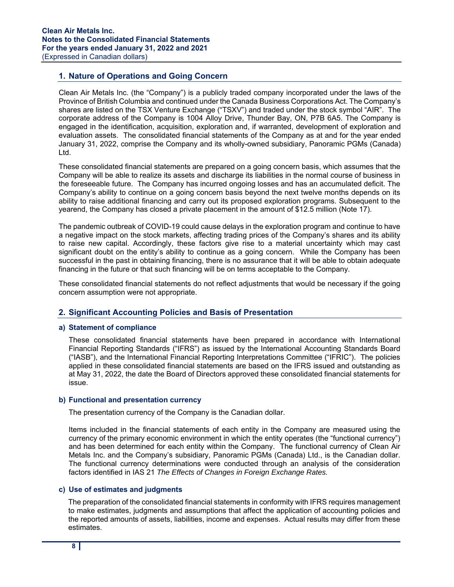# **1. Nature of Operations and Going Concern**

Clean Air Metals Inc. (the "Company") is a publicly traded company incorporated under the laws of the Province of British Columbia and continued under the Canada Business Corporations Act. The Company's shares are listed on the TSX Venture Exchange ("TSXV") and traded under the stock symbol "AIR". The corporate address of the Company is 1004 Alloy Drive, Thunder Bay, ON, P7B 6A5. The Company is engaged in the identification, acquisition, exploration and, if warranted, development of exploration and evaluation assets. The consolidated financial statements of the Company as at and for the year ended January 31, 2022, comprise the Company and its wholly-owned subsidiary, Panoramic PGMs (Canada) Ltd.

These consolidated financial statements are prepared on a going concern basis, which assumes that the Company will be able to realize its assets and discharge its liabilities in the normal course of business in the foreseeable future. The Company has incurred ongoing losses and has an accumulated deficit. The Company's ability to continue on a going concern basis beyond the next twelve months depends on its ability to raise additional financing and carry out its proposed exploration programs. Subsequent to the yearend, the Company has closed a private placement in the amount of \$12.5 million (Note 17).

The pandemic outbreak of COVID-19 could cause delays in the exploration program and continue to have a negative impact on the stock markets, affecting trading prices of the Company's shares and its ability to raise new capital. Accordingly, these factors give rise to a material uncertainty which may cast significant doubt on the entity's ability to continue as a going concern. While the Company has been successful in the past in obtaining financing, there is no assurance that it will be able to obtain adequate financing in the future or that such financing will be on terms acceptable to the Company.

These consolidated financial statements do not reflect adjustments that would be necessary if the going concern assumption were not appropriate.

# **2. Significant Accounting Policies and Basis of Presentation**

# **a) Statement of compliance**

These consolidated financial statements have been prepared in accordance with International Financial Reporting Standards ("IFRS") as issued by the International Accounting Standards Board ("IASB"), and the International Financial Reporting Interpretations Committee ("IFRIC"). The policies applied in these consolidated financial statements are based on the IFRS issued and outstanding as at May 31, 2022, the date the Board of Directors approved these consolidated financial statements for issue.

# **b) Functional and presentation currency**

The presentation currency of the Company is the Canadian dollar.

Items included in the financial statements of each entity in the Company are measured using the currency of the primary economic environment in which the entity operates (the "functional currency") and has been determined for each entity within the Company. The functional currency of Clean Air Metals Inc. and the Company's subsidiary, Panoramic PGMs (Canada) Ltd., is the Canadian dollar. The functional currency determinations were conducted through an analysis of the consideration factors identified in IAS 21 *The Effects of Changes in Foreign Exchange Rates.* 

# **c) Use of estimates and judgments**

The preparation of the consolidated financial statements in conformity with IFRS requires management to make estimates, judgments and assumptions that affect the application of accounting policies and the reported amounts of assets, liabilities, income and expenses. Actual results may differ from these estimates.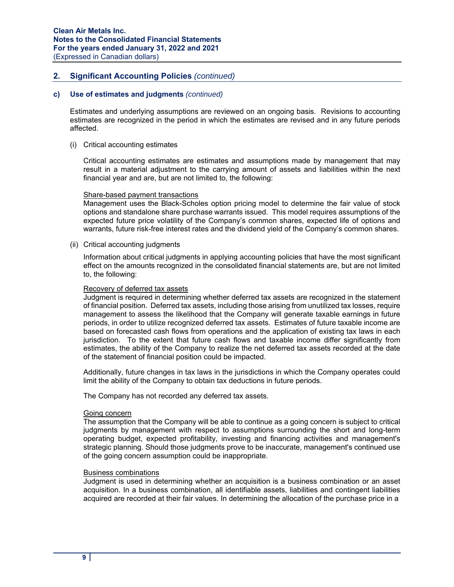#### **c) Use of estimates and judgments** *(continued)*

Estimates and underlying assumptions are reviewed on an ongoing basis. Revisions to accounting estimates are recognized in the period in which the estimates are revised and in any future periods affected.

#### (i) Critical accounting estimates

Critical accounting estimates are estimates and assumptions made by management that may result in a material adjustment to the carrying amount of assets and liabilities within the next financial year and are, but are not limited to, the following:

#### Share-based payment transactions

Management uses the Black-Scholes option pricing model to determine the fair value of stock options and standalone share purchase warrants issued. This model requires assumptions of the expected future price volatility of the Company's common shares, expected life of options and warrants, future risk-free interest rates and the dividend yield of the Company's common shares.

(ii) Critical accounting judgments

Information about critical judgments in applying accounting policies that have the most significant effect on the amounts recognized in the consolidated financial statements are, but are not limited to, the following:

#### Recovery of deferred tax assets

Judgment is required in determining whether deferred tax assets are recognized in the statement of financial position. Deferred tax assets, including those arising from unutilized tax losses, require management to assess the likelihood that the Company will generate taxable earnings in future periods, in order to utilize recognized deferred tax assets. Estimates of future taxable income are based on forecasted cash flows from operations and the application of existing tax laws in each jurisdiction. To the extent that future cash flows and taxable income differ significantly from estimates, the ability of the Company to realize the net deferred tax assets recorded at the date of the statement of financial position could be impacted.

Additionally, future changes in tax laws in the jurisdictions in which the Company operates could limit the ability of the Company to obtain tax deductions in future periods.

The Company has not recorded any deferred tax assets.

#### Going concern

The assumption that the Company will be able to continue as a going concern is subject to critical judgments by management with respect to assumptions surrounding the short and long-term operating budget, expected profitability, investing and financing activities and management's strategic planning. Should those judgments prove to be inaccurate, management's continued use of the going concern assumption could be inappropriate.

#### Business combinations

Judgment is used in determining whether an acquisition is a business combination or an asset acquisition. In a business combination, all identifiable assets, liabilities and contingent liabilities acquired are recorded at their fair values. In determining the allocation of the purchase price in a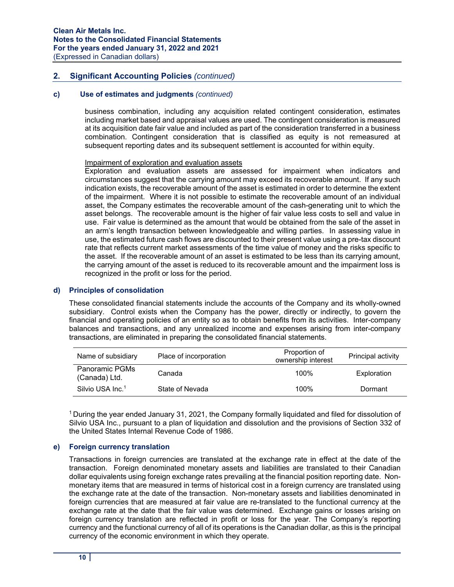# **c) Use of estimates and judgments** *(continued)*

business combination, including any acquisition related contingent consideration, estimates including market based and appraisal values are used. The contingent consideration is measured at its acquisition date fair value and included as part of the consideration transferred in a business combination. Contingent consideration that is classified as equity is not remeasured at subsequent reporting dates and its subsequent settlement is accounted for within equity.

# Impairment of exploration and evaluation assets

Exploration and evaluation assets are assessed for impairment when indicators and circumstances suggest that the carrying amount may exceed its recoverable amount. If any such indication exists, the recoverable amount of the asset is estimated in order to determine the extent of the impairment. Where it is not possible to estimate the recoverable amount of an individual asset, the Company estimates the recoverable amount of the cash-generating unit to which the asset belongs. The recoverable amount is the higher of fair value less costs to sell and value in use. Fair value is determined as the amount that would be obtained from the sale of the asset in an arm's length transaction between knowledgeable and willing parties. In assessing value in use, the estimated future cash flows are discounted to their present value using a pre-tax discount rate that reflects current market assessments of the time value of money and the risks specific to the asset. If the recoverable amount of an asset is estimated to be less than its carrying amount, the carrying amount of the asset is reduced to its recoverable amount and the impairment loss is recognized in the profit or loss for the period.

# **d) Principles of consolidation**

These consolidated financial statements include the accounts of the Company and its wholly-owned subsidiary. Control exists when the Company has the power, directly or indirectly, to govern the financial and operating policies of an entity so as to obtain benefits from its activities. Inter-company balances and transactions, and any unrealized income and expenses arising from inter-company transactions, are eliminated in preparing the consolidated financial statements.

| Name of subsidiary              | Place of incorporation | Proportion of<br>ownership interest | Principal activity |
|---------------------------------|------------------------|-------------------------------------|--------------------|
| Panoramic PGMs<br>(Canada) Ltd. | Canada                 | 100%                                | Exploration        |
| Silvio USA Inc. <sup>1</sup>    | State of Nevada        | $100\%$                             | Dormant            |

1 During the year ended January 31, 2021, the Company formally liquidated and filed for dissolution of Silvio USA Inc., pursuant to a plan of liquidation and dissolution and the provisions of Section 332 of the United States Internal Revenue Code of 1986.

# **e) Foreign currency translation**

Transactions in foreign currencies are translated at the exchange rate in effect at the date of the transaction. Foreign denominated monetary assets and liabilities are translated to their Canadian dollar equivalents using foreign exchange rates prevailing at the financial position reporting date. Nonmonetary items that are measured in terms of historical cost in a foreign currency are translated using the exchange rate at the date of the transaction. Non-monetary assets and liabilities denominated in foreign currencies that are measured at fair value are re-translated to the functional currency at the exchange rate at the date that the fair value was determined. Exchange gains or losses arising on foreign currency translation are reflected in profit or loss for the year. The Company's reporting currency and the functional currency of all of its operations is the Canadian dollar, as this is the principal currency of the economic environment in which they operate.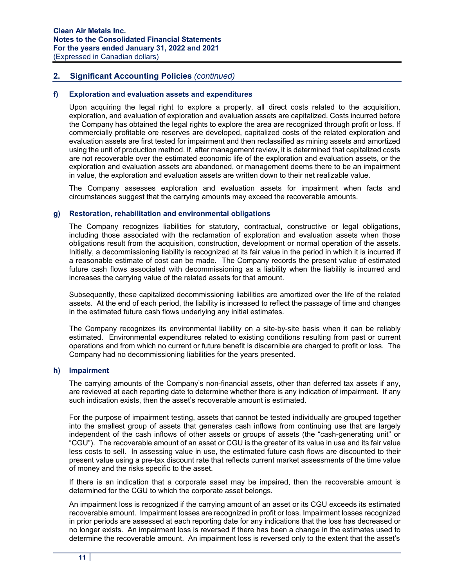# **f) Exploration and evaluation assets and expenditures**

Upon acquiring the legal right to explore a property, all direct costs related to the acquisition, exploration, and evaluation of exploration and evaluation assets are capitalized. Costs incurred before the Company has obtained the legal rights to explore the area are recognized through profit or loss. If commercially profitable ore reserves are developed, capitalized costs of the related exploration and evaluation assets are first tested for impairment and then reclassified as mining assets and amortized using the unit of production method. If, after management review, it is determined that capitalized costs are not recoverable over the estimated economic life of the exploration and evaluation assets, or the exploration and evaluation assets are abandoned, or management deems there to be an impairment in value, the exploration and evaluation assets are written down to their net realizable value.

The Company assesses exploration and evaluation assets for impairment when facts and circumstances suggest that the carrying amounts may exceed the recoverable amounts.

# **g) Restoration, rehabilitation and environmental obligations**

The Company recognizes liabilities for statutory, contractual, constructive or legal obligations, including those associated with the reclamation of exploration and evaluation assets when those obligations result from the acquisition, construction, development or normal operation of the assets. Initially, a decommissioning liability is recognized at its fair value in the period in which it is incurred if a reasonable estimate of cost can be made. The Company records the present value of estimated future cash flows associated with decommissioning as a liability when the liability is incurred and increases the carrying value of the related assets for that amount.

Subsequently, these capitalized decommissioning liabilities are amortized over the life of the related assets. At the end of each period, the liability is increased to reflect the passage of time and changes in the estimated future cash flows underlying any initial estimates.

The Company recognizes its environmental liability on a site-by-site basis when it can be reliably estimated. Environmental expenditures related to existing conditions resulting from past or current operations and from which no current or future benefit is discernible are charged to profit or loss. The Company had no decommissioning liabilities for the years presented.

#### **h) Impairment**

The carrying amounts of the Company's non-financial assets, other than deferred tax assets if any, are reviewed at each reporting date to determine whether there is any indication of impairment. If any such indication exists, then the asset's recoverable amount is estimated.

For the purpose of impairment testing, assets that cannot be tested individually are grouped together into the smallest group of assets that generates cash inflows from continuing use that are largely independent of the cash inflows of other assets or groups of assets (the "cash-generating unit" or "CGU"). The recoverable amount of an asset or CGU is the greater of its value in use and its fair value less costs to sell. In assessing value in use, the estimated future cash flows are discounted to their present value using a pre-tax discount rate that reflects current market assessments of the time value of money and the risks specific to the asset.

If there is an indication that a corporate asset may be impaired, then the recoverable amount is determined for the CGU to which the corporate asset belongs.

An impairment loss is recognized if the carrying amount of an asset or its CGU exceeds its estimated recoverable amount. Impairment losses are recognized in profit or loss. Impairment losses recognized in prior periods are assessed at each reporting date for any indications that the loss has decreased or no longer exists. An impairment loss is reversed if there has been a change in the estimates used to determine the recoverable amount. An impairment loss is reversed only to the extent that the asset's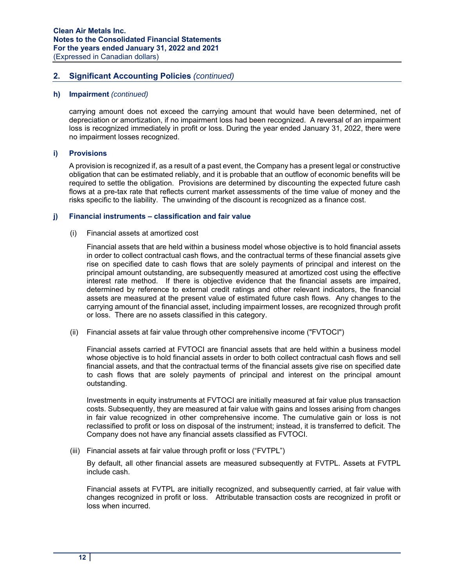# **h) Impairment** *(continued)*

carrying amount does not exceed the carrying amount that would have been determined, net of depreciation or amortization, if no impairment loss had been recognized. A reversal of an impairment loss is recognized immediately in profit or loss. During the year ended January 31, 2022, there were no impairment losses recognized.

#### **i) Provisions**

A provision is recognized if, as a result of a past event, the Company has a present legal or constructive obligation that can be estimated reliably, and it is probable that an outflow of economic benefits will be required to settle the obligation. Provisions are determined by discounting the expected future cash flows at a pre-tax rate that reflects current market assessments of the time value of money and the risks specific to the liability. The unwinding of the discount is recognized as a finance cost.

# **j) Financial instruments – classification and fair value**

(i) Financial assets at amortized cost

Financial assets that are held within a business model whose objective is to hold financial assets in order to collect contractual cash flows, and the contractual terms of these financial assets give rise on specified date to cash flows that are solely payments of principal and interest on the principal amount outstanding, are subsequently measured at amortized cost using the effective interest rate method. If there is objective evidence that the financial assets are impaired, determined by reference to external credit ratings and other relevant indicators, the financial assets are measured at the present value of estimated future cash flows. Any changes to the carrying amount of the financial asset, including impairment losses, are recognized through profit or loss. There are no assets classified in this category.

(ii) Financial assets at fair value through other comprehensive income ("FVTOCI")

Financial assets carried at FVTOCI are financial assets that are held within a business model whose objective is to hold financial assets in order to both collect contractual cash flows and sell financial assets, and that the contractual terms of the financial assets give rise on specified date to cash flows that are solely payments of principal and interest on the principal amount outstanding.

Investments in equity instruments at FVTOCI are initially measured at fair value plus transaction costs. Subsequently, they are measured at fair value with gains and losses arising from changes in fair value recognized in other comprehensive income. The cumulative gain or loss is not reclassified to profit or loss on disposal of the instrument; instead, it is transferred to deficit. The Company does not have any financial assets classified as FVTOCI.

(iii) Financial assets at fair value through profit or loss ("FVTPL")

By default, all other financial assets are measured subsequently at FVTPL. Assets at FVTPL include cash.

Financial assets at FVTPL are initially recognized, and subsequently carried, at fair value with changes recognized in profit or loss. Attributable transaction costs are recognized in profit or loss when incurred.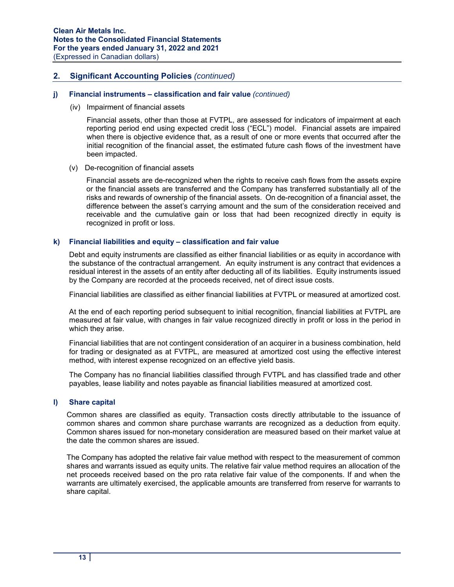# **j) Financial instruments – classification and fair value** *(continued)*

(iv) Impairment of financial assets

Financial assets, other than those at FVTPL, are assessed for indicators of impairment at each reporting period end using expected credit loss ("ECL") model. Financial assets are impaired when there is objective evidence that, as a result of one or more events that occurred after the initial recognition of the financial asset, the estimated future cash flows of the investment have been impacted.

#### (v) De-recognition of financial assets

Financial assets are de-recognized when the rights to receive cash flows from the assets expire or the financial assets are transferred and the Company has transferred substantially all of the risks and rewards of ownership of the financial assets. On de-recognition of a financial asset, the difference between the asset's carrying amount and the sum of the consideration received and receivable and the cumulative gain or loss that had been recognized directly in equity is recognized in profit or loss.

#### **k) Financial liabilities and equity – classification and fair value**

Debt and equity instruments are classified as either financial liabilities or as equity in accordance with the substance of the contractual arrangement. An equity instrument is any contract that evidences a residual interest in the assets of an entity after deducting all of its liabilities. Equity instruments issued by the Company are recorded at the proceeds received, net of direct issue costs.

Financial liabilities are classified as either financial liabilities at FVTPL or measured at amortized cost.

At the end of each reporting period subsequent to initial recognition, financial liabilities at FVTPL are measured at fair value, with changes in fair value recognized directly in profit or loss in the period in which they arise.

Financial liabilities that are not contingent consideration of an acquirer in a business combination, held for trading or designated as at FVTPL, are measured at amortized cost using the effective interest method, with interest expense recognized on an effective yield basis.

The Company has no financial liabilities classified through FVTPL and has classified trade and other payables, lease liability and notes payable as financial liabilities measured at amortized cost.

# **l) Share capital**

Common shares are classified as equity. Transaction costs directly attributable to the issuance of common shares and common share purchase warrants are recognized as a deduction from equity. Common shares issued for non-monetary consideration are measured based on their market value at the date the common shares are issued.

The Company has adopted the relative fair value method with respect to the measurement of common shares and warrants issued as equity units. The relative fair value method requires an allocation of the net proceeds received based on the pro rata relative fair value of the components. If and when the warrants are ultimately exercised, the applicable amounts are transferred from reserve for warrants to share capital.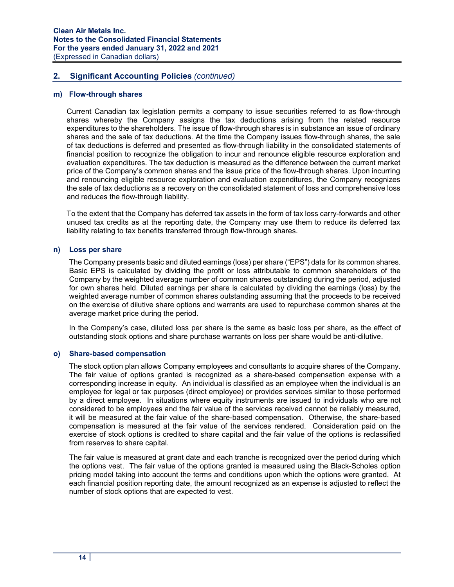# **m) Flow-through shares**

Current Canadian tax legislation permits a company to issue securities referred to as flow-through shares whereby the Company assigns the tax deductions arising from the related resource expenditures to the shareholders. The issue of flow-through shares is in substance an issue of ordinary shares and the sale of tax deductions. At the time the Company issues flow-through shares, the sale of tax deductions is deferred and presented as flow-through liability in the consolidated statements of financial position to recognize the obligation to incur and renounce eligible resource exploration and evaluation expenditures. The tax deduction is measured as the difference between the current market price of the Company's common shares and the issue price of the flow-through shares. Upon incurring and renouncing eligible resource exploration and evaluation expenditures, the Company recognizes the sale of tax deductions as a recovery on the consolidated statement of loss and comprehensive loss and reduces the flow-through liability.

To the extent that the Company has deferred tax assets in the form of tax loss carry-forwards and other unused tax credits as at the reporting date, the Company may use them to reduce its deferred tax liability relating to tax benefits transferred through flow-through shares.

#### **n) Loss per share**

The Company presents basic and diluted earnings (loss) per share ("EPS") data for its common shares. Basic EPS is calculated by dividing the profit or loss attributable to common shareholders of the Company by the weighted average number of common shares outstanding during the period, adjusted for own shares held. Diluted earnings per share is calculated by dividing the earnings (loss) by the weighted average number of common shares outstanding assuming that the proceeds to be received on the exercise of dilutive share options and warrants are used to repurchase common shares at the average market price during the period.

In the Company's case, diluted loss per share is the same as basic loss per share, as the effect of outstanding stock options and share purchase warrants on loss per share would be anti-dilutive.

#### **o) Share-based compensation**

The stock option plan allows Company employees and consultants to acquire shares of the Company. The fair value of options granted is recognized as a share-based compensation expense with a corresponding increase in equity. An individual is classified as an employee when the individual is an employee for legal or tax purposes (direct employee) or provides services similar to those performed by a direct employee. In situations where equity instruments are issued to individuals who are not considered to be employees and the fair value of the services received cannot be reliably measured, it will be measured at the fair value of the share-based compensation. Otherwise, the share-based compensation is measured at the fair value of the services rendered. Consideration paid on the exercise of stock options is credited to share capital and the fair value of the options is reclassified from reserves to share capital.

The fair value is measured at grant date and each tranche is recognized over the period during which the options vest. The fair value of the options granted is measured using the Black-Scholes option pricing model taking into account the terms and conditions upon which the options were granted. At each financial position reporting date, the amount recognized as an expense is adjusted to reflect the number of stock options that are expected to vest.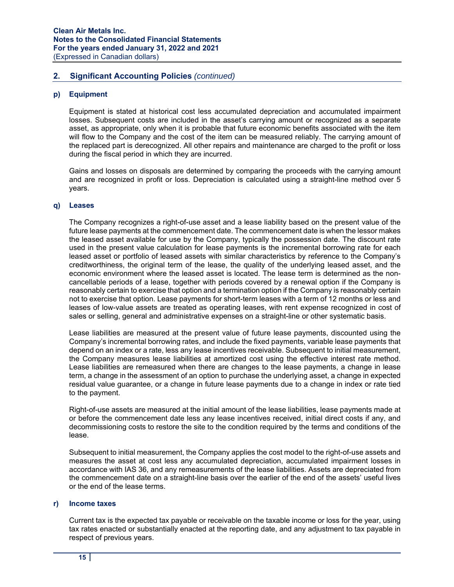# **p) Equipment**

Equipment is stated at historical cost less accumulated depreciation and accumulated impairment losses. Subsequent costs are included in the asset's carrying amount or recognized as a separate asset, as appropriate, only when it is probable that future economic benefits associated with the item will flow to the Company and the cost of the item can be measured reliably. The carrying amount of the replaced part is derecognized. All other repairs and maintenance are charged to the profit or loss during the fiscal period in which they are incurred.

Gains and losses on disposals are determined by comparing the proceeds with the carrying amount and are recognized in profit or loss. Depreciation is calculated using a straight-line method over 5 years.

# **q) Leases**

The Company recognizes a right-of-use asset and a lease liability based on the present value of the future lease payments at the commencement date. The commencement date is when the lessor makes the leased asset available for use by the Company, typically the possession date. The discount rate used in the present value calculation for lease payments is the incremental borrowing rate for each leased asset or portfolio of leased assets with similar characteristics by reference to the Company's creditworthiness, the original term of the lease, the quality of the underlying leased asset, and the economic environment where the leased asset is located. The lease term is determined as the noncancellable periods of a lease, together with periods covered by a renewal option if the Company is reasonably certain to exercise that option and a termination option if the Company is reasonably certain not to exercise that option. Lease payments for short-term leases with a term of 12 months or less and leases of low-value assets are treated as operating leases, with rent expense recognized in cost of sales or selling, general and administrative expenses on a straight-line or other systematic basis.

Lease liabilities are measured at the present value of future lease payments, discounted using the Company's incremental borrowing rates, and include the fixed payments, variable lease payments that depend on an index or a rate, less any lease incentives receivable. Subsequent to initial measurement, the Company measures lease liabilities at amortized cost using the effective interest rate method. Lease liabilities are remeasured when there are changes to the lease payments, a change in lease term, a change in the assessment of an option to purchase the underlying asset, a change in expected residual value guarantee, or a change in future lease payments due to a change in index or rate tied to the payment.

Right-of-use assets are measured at the initial amount of the lease liabilities, lease payments made at or before the commencement date less any lease incentives received, initial direct costs if any, and decommissioning costs to restore the site to the condition required by the terms and conditions of the lease.

Subsequent to initial measurement, the Company applies the cost model to the right-of-use assets and measures the asset at cost less any accumulated depreciation, accumulated impairment losses in accordance with IAS 36, and any remeasurements of the lease liabilities. Assets are depreciated from the commencement date on a straight-line basis over the earlier of the end of the assets' useful lives or the end of the lease terms.

# **r) Income taxes**

Current tax is the expected tax payable or receivable on the taxable income or loss for the year, using tax rates enacted or substantially enacted at the reporting date, and any adjustment to tax payable in respect of previous years.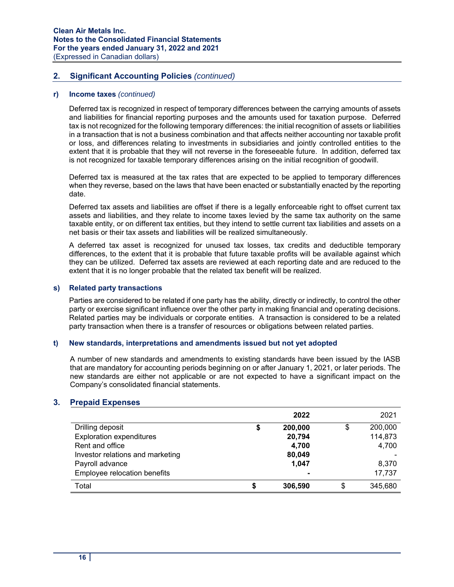# **r) Income taxes** *(continued)*

Deferred tax is recognized in respect of temporary differences between the carrying amounts of assets and liabilities for financial reporting purposes and the amounts used for taxation purpose. Deferred tax is not recognized for the following temporary differences: the initial recognition of assets or liabilities in a transaction that is not a business combination and that affects neither accounting nor taxable profit or loss, and differences relating to investments in subsidiaries and jointly controlled entities to the extent that it is probable that they will not reverse in the foreseeable future. In addition, deferred tax is not recognized for taxable temporary differences arising on the initial recognition of goodwill.

Deferred tax is measured at the tax rates that are expected to be applied to temporary differences when they reverse, based on the laws that have been enacted or substantially enacted by the reporting date.

Deferred tax assets and liabilities are offset if there is a legally enforceable right to offset current tax assets and liabilities, and they relate to income taxes levied by the same tax authority on the same taxable entity, or on different tax entities, but they intend to settle current tax liabilities and assets on a net basis or their tax assets and liabilities will be realized simultaneously.

A deferred tax asset is recognized for unused tax losses, tax credits and deductible temporary differences, to the extent that it is probable that future taxable profits will be available against which they can be utilized. Deferred tax assets are reviewed at each reporting date and are reduced to the extent that it is no longer probable that the related tax benefit will be realized.

#### **s) Related party transactions**

Parties are considered to be related if one party has the ability, directly or indirectly, to control the other party or exercise significant influence over the other party in making financial and operating decisions. Related parties may be individuals or corporate entities. A transaction is considered to be a related party transaction when there is a transfer of resources or obligations between related parties.

#### **t) New standards, interpretations and amendments issued but not yet adopted**

A number of new standards and amendments to existing standards have been issued by the IASB that are mandatory for accounting periods beginning on or after January 1, 2021, or later periods. The new standards are either not applicable or are not expected to have a significant impact on the Company's consolidated financial statements.

# **3. Prepaid Expenses**

|                                  |    | 2022    | 2021          |
|----------------------------------|----|---------|---------------|
| Drilling deposit                 | \$ | 200,000 | \$<br>200,000 |
| <b>Exploration expenditures</b>  |    | 20,794  | 114,873       |
| Rent and office                  |    | 4,700   | 4,700         |
| Investor relations and marketing |    | 80,049  |               |
| Payroll advance                  |    | 1.047   | 8,370         |
| Employee relocation benefits     |    |         | 17,737        |
| Total                            | S  | 306,590 | \$<br>345.680 |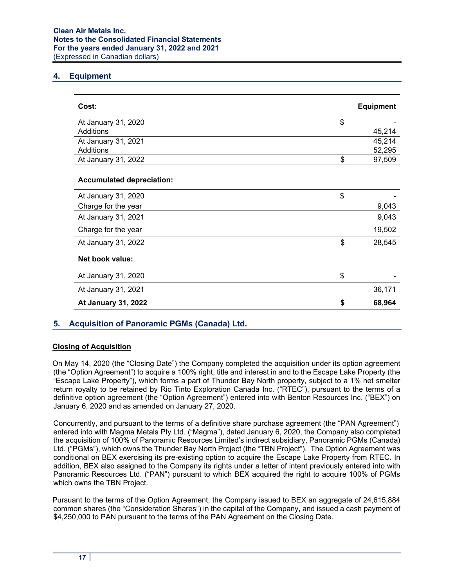# **4. Equipment**

| Cost:                            | <b>Equipment</b> |
|----------------------------------|------------------|
| At January 31, 2020              | \$               |
| Additions                        | 45,214           |
| At January 31, 2021              | 45,214           |
| Additions                        | 52,295           |
| At January 31, 2022              | \$<br>97,509     |
| <b>Accumulated depreciation:</b> |                  |
| At January 31, 2020              | \$               |
| Charge for the year              | 9,043            |
| At January 31, 2021              | 9,043            |
| Charge for the year              | 19,502           |
| At January 31, 2022              | \$<br>28,545     |
| Net book value:                  |                  |
| At January 31, 2020              | \$               |
| At January 31, 2021              | 36,171           |
| At January 31, 2022              | \$<br>68,964     |

# **5. Acquisition of Panoramic PGMs (Canada) Ltd.**

# **Closing of Acquisition**

On May 14, 2020 (the "Closing Date") the Company completed the acquisition under its option agreement (the "Option Agreement") to acquire a 100% right, title and interest in and to the Escape Lake Property (the "Escape Lake Property"), which forms a part of Thunder Bay North property, subject to a 1% net smelter return royalty to be retained by Rio Tinto Exploration Canada Inc. ("RTEC"), pursuant to the terms of a definitive option agreement (the "Option Agreement") entered into with Benton Resources Inc. ("BEX") on January 6, 2020 and as amended on January 27, 2020.

 Concurrently, and pursuant to the terms of a definitive share purchase agreement (the "PAN Agreement") entered into with Magma Metals Pty Ltd. ("Magma"), dated January 6, 2020, the Company also completed the acquisition of 100% of Panoramic Resources Limited's indirect subsidiary, Panoramic PGMs (Canada) Ltd. ("PGMs"), which owns the Thunder Bay North Project (the "TBN Project"). The Option Agreement was conditional on BEX exercising its pre-existing option to acquire the Escape Lake Property from RTEC. In addition, BEX also assigned to the Company its rights under a letter of intent previously entered into with Panoramic Resources Ltd. ("PAN") pursuant to which BEX acquired the right to acquire 100% of PGMs which owns the TBN Project.

Pursuant to the terms of the Option Agreement, the Company issued to BEX an aggregate of 24,615,884 common shares (the "Consideration Shares") in the capital of the Company, and issued a cash payment of \$4,250,000 to PAN pursuant to the terms of the PAN Agreement on the Closing Date.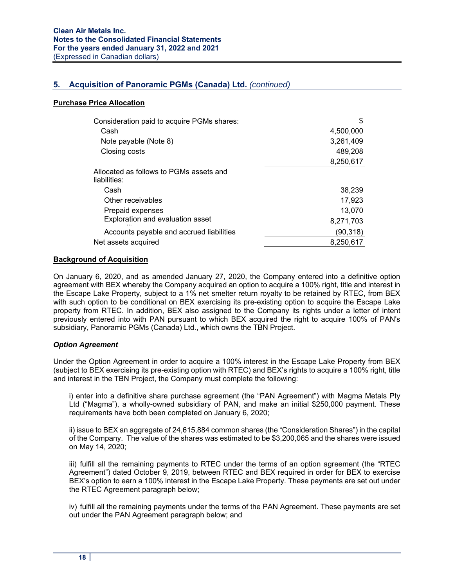# **5. Acquisition of Panoramic PGMs (Canada) Ltd.** *(continued)*

# **Purchase Price Allocation**

| Consideration paid to acquire PGMs shares:              | \$        |
|---------------------------------------------------------|-----------|
| Cash                                                    | 4,500,000 |
| Note payable (Note 8)                                   | 3,261,409 |
| Closing costs                                           | 489,208   |
|                                                         | 8,250,617 |
| Allocated as follows to PGMs assets and<br>liabilities: |           |
| Cash                                                    | 38,239    |
| Other receivables                                       | 17.923    |
| Prepaid expenses                                        | 13.070    |
| Exploration and evaluation asset                        | 8,271,703 |
| Accounts payable and accrued liabilities                | (90,318)  |
| Net assets acquired                                     | 8.250.617 |

# **Background of Acquisition**

On January 6, 2020, and as amended January 27, 2020, the Company entered into a definitive option agreement with BEX whereby the Company acquired an option to acquire a 100% right, title and interest in the Escape Lake Property, subject to a 1% net smelter return royalty to be retained by RTEC, from BEX with such option to be conditional on BEX exercising its pre-existing option to acquire the Escape Lake property from RTEC. In addition, BEX also assigned to the Company its rights under a letter of intent previously entered into with PAN pursuant to which BEX acquired the right to acquire 100% of PAN's subsidiary, Panoramic PGMs (Canada) Ltd., which owns the TBN Project.

# *Option Agreement*

Under the Option Agreement in order to acquire a 100% interest in the Escape Lake Property from BEX (subject to BEX exercising its pre-existing option with RTEC) and BEX's rights to acquire a 100% right, title and interest in the TBN Project, the Company must complete the following:

 i) enter into a definitive share purchase agreement (the "PAN Agreement") with Magma Metals Pty Ltd ("Magma"), a wholly-owned subsidiary of PAN, and make an initial \$250,000 payment. These requirements have both been completed on January 6, 2020;

ii) issue to BEX an aggregate of 24,615,884 common shares (the "Consideration Shares") in the capital of the Company. The value of the shares was estimated to be \$3,200,065 and the shares were issued on May 14, 2020;

iii) fulfill all the remaining payments to RTEC under the terms of an option agreement (the "RTEC Agreement") dated October 9, 2019, between RTEC and BEX required in order for BEX to exercise BEX's option to earn a 100% interest in the Escape Lake Property. These payments are set out under the RTEC Agreement paragraph below;

 iv) fulfill all the remaining payments under the terms of the PAN Agreement. These payments are set out under the PAN Agreement paragraph below; and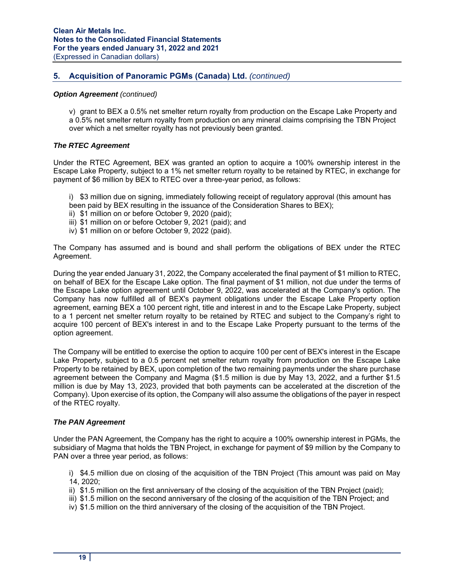# **5. Acquisition of Panoramic PGMs (Canada) Ltd.** *(continued)*

#### *Option Agreement (continued)*

 v) grant to BEX a 0.5% net smelter return royalty from production on the Escape Lake Property and a 0.5% net smelter return royalty from production on any mineral claims comprising the TBN Project over which a net smelter royalty has not previously been granted.

# *The RTEC Agreement*

Under the RTEC Agreement, BEX was granted an option to acquire a 100% ownership interest in the Escape Lake Property, subject to a 1% net smelter return royalty to be retained by RTEC, in exchange for payment of \$6 million by BEX to RTEC over a three-year period, as follows:

- i) \$3 million due on signing, immediately following receipt of regulatory approval (this amount has
- been paid by BEX resulting in the issuance of the Consideration Shares to BEX);
- ii) \$1 million on or before October 9, 2020 (paid);
- iii) \$1 million on or before October 9, 2021 (paid); and
- iv) \$1 million on or before October 9, 2022 (paid).

The Company has assumed and is bound and shall perform the obligations of BEX under the RTEC Agreement.

During the year ended January 31, 2022, the Company accelerated the final payment of \$1 million to RTEC, on behalf of BEX for the Escape Lake option. The final payment of \$1 million, not due under the terms of the Escape Lake option agreement until October 9, 2022, was accelerated at the Company's option. The Company has now fulfilled all of BEX's payment obligations under the Escape Lake Property option agreement, earning BEX a 100 percent right, title and interest in and to the Escape Lake Property, subject to a 1 percent net smelter return royalty to be retained by RTEC and subject to the Company's right to acquire 100 percent of BEX's interest in and to the Escape Lake Property pursuant to the terms of the option agreement.

The Company will be entitled to exercise the option to acquire 100 per cent of BEX's interest in the Escape Lake Property, subject to a 0.5 percent net smelter return royalty from production on the Escape Lake Property to be retained by BEX, upon completion of the two remaining payments under the share purchase agreement between the Company and Magma (\$1.5 million is due by May 13, 2022, and a further \$1.5 million is due by May 13, 2023, provided that both payments can be accelerated at the discretion of the Company). Upon exercise of its option, the Company will also assume the obligations of the payer in respect of the RTEC royalty.

# *The PAN Agreement*

Under the PAN Agreement, the Company has the right to acquire a 100% ownership interest in PGMs, the subsidiary of Magma that holds the TBN Project, in exchange for payment of \$9 million by the Company to PAN over a three year period, as follows:

 i) \$4.5 million due on closing of the acquisition of the TBN Project (This amount was paid on May 14, 2020;

- ii) \$1.5 million on the first anniversary of the closing of the acquisition of the TBN Project (paid);
- iii) \$1.5 million on the second anniversary of the closing of the acquisition of the TBN Project; and
- iv) \$1.5 million on the third anniversary of the closing of the acquisition of the TBN Project.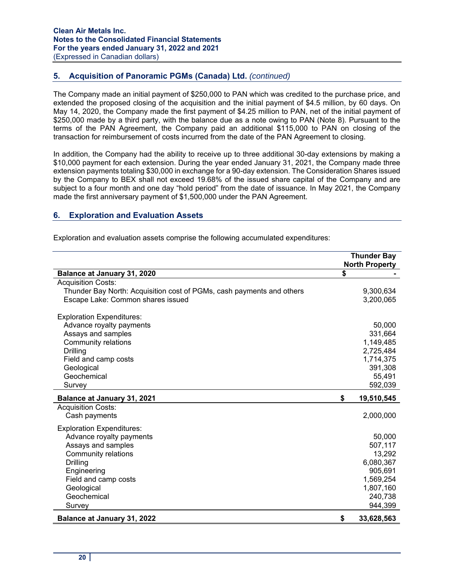# **5. Acquisition of Panoramic PGMs (Canada) Ltd.** *(continued)*

The Company made an initial payment of \$250,000 to PAN which was credited to the purchase price, and extended the proposed closing of the acquisition and the initial payment of \$4.5 million, by 60 days. On May 14, 2020, the Company made the first payment of \$4.25 million to PAN, net of the initial payment of \$250,000 made by a third party, with the balance due as a note owing to PAN (Note 8). Pursuant to the terms of the PAN Agreement, the Company paid an additional \$115,000 to PAN on closing of the transaction for reimbursement of costs incurred from the date of the PAN Agreement to closing.

In addition, the Company had the ability to receive up to three additional 30-day extensions by making a \$10,000 payment for each extension. During the year ended January 31, 2021, the Company made three extension payments totaling \$30,000 in exchange for a 90-day extension. The Consideration Shares issued by the Company to BEX shall not exceed 19.68% of the issued share capital of the Company and are subject to a four month and one day "hold period" from the date of issuance. In May 2021, the Company made the first anniversary payment of \$1,500,000 under the PAN Agreement.

# **6. Exploration and Evaluation Assets**

Exploration and evaluation assets comprise the following accumulated expenditures:

|                                                                       | <b>Thunder Bay</b><br><b>North Property</b> |
|-----------------------------------------------------------------------|---------------------------------------------|
| Balance at January 31, 2020                                           | \$                                          |
| <b>Acquisition Costs:</b>                                             |                                             |
| Thunder Bay North: Acquisition cost of PGMs, cash payments and others | 9,300,634                                   |
| Escape Lake: Common shares issued                                     | 3,200,065                                   |
| <b>Exploration Expenditures:</b>                                      |                                             |
| Advance royalty payments                                              | 50,000                                      |
| Assays and samples                                                    | 331,664                                     |
| <b>Community relations</b>                                            | 1,149,485                                   |
| <b>Drilling</b>                                                       | 2,725,484                                   |
| Field and camp costs                                                  | 1,714,375                                   |
| Geological                                                            | 391,308                                     |
| Geochemical                                                           | 55,491                                      |
| Survey                                                                | 592,039                                     |
| Balance at January 31, 2021                                           | \$<br>19,510,545                            |
| <b>Acquisition Costs:</b>                                             |                                             |
| Cash payments                                                         | 2,000,000                                   |
| <b>Exploration Expenditures:</b>                                      |                                             |
| Advance royalty payments                                              | 50,000                                      |
| Assays and samples                                                    | 507,117                                     |
| <b>Community relations</b>                                            | 13,292                                      |
| <b>Drilling</b>                                                       | 6,080,367                                   |
| Engineering                                                           | 905,691                                     |
| Field and camp costs                                                  | 1,569,254                                   |
| Geological                                                            | 1,807,160                                   |
| Geochemical                                                           | 240,738                                     |
| Survey                                                                | 944,399                                     |
| Balance at January 31, 2022                                           | \$<br>33,628,563                            |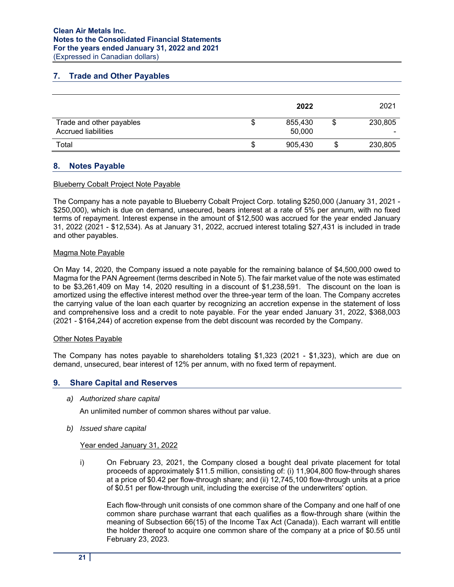# **7. Trade and Other Payables**

|                                                        | 2022              |   | 2021    |
|--------------------------------------------------------|-------------------|---|---------|
| Trade and other payables<br><b>Accrued liabilities</b> | 855,430<br>50,000 | S | 230,805 |
| Total                                                  | 905,430           |   | 230,805 |

# **8. Notes Payable**

# Blueberry Cobalt Project Note Payable

The Company has a note payable to Blueberry Cobalt Project Corp. totaling \$250,000 (January 31, 2021 - \$250,000), which is due on demand, unsecured, bears interest at a rate of 5% per annum, with no fixed terms of repayment. Interest expense in the amount of \$12,500 was accrued for the year ended January 31, 2022 (2021 - \$12,534). As at January 31, 2022, accrued interest totaling \$27,431 is included in trade and other payables.

# Magma Note Payable

On May 14, 2020, the Company issued a note payable for the remaining balance of \$4,500,000 owed to Magma for the PAN Agreement (terms described in Note 5). The fair market value of the note was estimated to be \$3,261,409 on May 14, 2020 resulting in a discount of \$1,238,591. The discount on the loan is amortized using the effective interest method over the three-year term of the loan. The Company accretes the carrying value of the loan each quarter by recognizing an accretion expense in the statement of loss and comprehensive loss and a credit to note payable. For the year ended January 31, 2022, \$368,003 (2021 - \$164,244) of accretion expense from the debt discount was recorded by the Company.

# Other Notes Payable

The Company has notes payable to shareholders totaling \$1,323 (2021 - \$1,323), which are due on demand, unsecured, bear interest of 12% per annum, with no fixed term of repayment.

# **9. Share Capital and Reserves**

*a) Authorized share capital*

An unlimited number of common shares without par value.

*b) Issued share capital* 

# Year ended January 31, 2022

i) On February 23, 2021, the Company closed a bought deal private placement for total proceeds of approximately \$11.5 million, consisting of: (i) 11,904,800 flow-through shares at a price of \$0.42 per flow-through share; and (ii) 12,745,100 flow-through units at a price of \$0.51 per flow-through unit, including the exercise of the underwriters' option.

Each flow-through unit consists of one common share of the Company and one half of one common share purchase warrant that each qualifies as a flow-through share (within the meaning of Subsection 66(15) of the Income Tax Act (Canada)). Each warrant will entitle the holder thereof to acquire one common share of the company at a price of \$0.55 until February 23, 2023.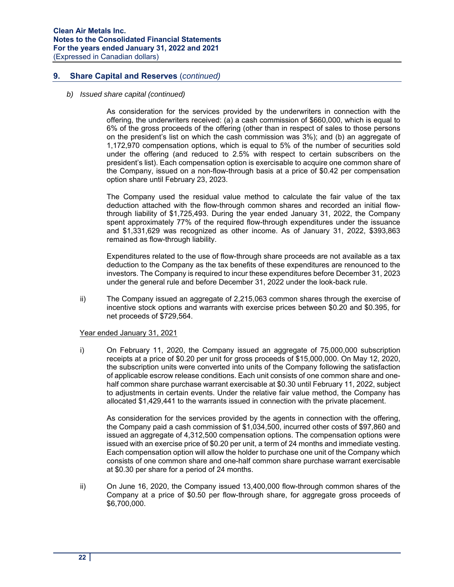#### *b) Issued share capital (continued)*

As consideration for the services provided by the underwriters in connection with the offering, the underwriters received: (a) a cash commission of \$660,000, which is equal to 6% of the gross proceeds of the offering (other than in respect of sales to those persons on the president's list on which the cash commission was 3%); and (b) an aggregate of 1,172,970 compensation options, which is equal to 5% of the number of securities sold under the offering (and reduced to 2.5% with respect to certain subscribers on the president's list). Each compensation option is exercisable to acquire one common share of the Company, issued on a non-flow-through basis at a price of \$0.42 per compensation option share until February 23, 2023.

The Company used the residual value method to calculate the fair value of the tax deduction attached with the flow-through common shares and recorded an initial flowthrough liability of \$1,725,493. During the year ended January 31, 2022, the Company spent approximately 77% of the required flow-through expenditures under the issuance and \$1,331,629 was recognized as other income. As of January 31, 2022, \$393,863 remained as flow-through liability.

Expenditures related to the use of flow-through share proceeds are not available as a tax deduction to the Company as the tax benefits of these expenditures are renounced to the investors. The Company is required to incur these expenditures before December 31, 2023 under the general rule and before December 31, 2022 under the look-back rule.

ii) The Company issued an aggregate of 2,215,063 common shares through the exercise of incentive stock options and warrants with exercise prices between \$0.20 and \$0.395, for net proceeds of \$729,564.

Year ended January 31, 2021

i) On February 11, 2020, the Company issued an aggregate of 75,000,000 subscription receipts at a price of \$0.20 per unit for gross proceeds of \$15,000,000. On May 12, 2020, the subscription units were converted into units of the Company following the satisfaction of applicable escrow release conditions. Each unit consists of one common share and onehalf common share purchase warrant exercisable at \$0.30 until February 11, 2022, subject to adjustments in certain events. Under the relative fair value method, the Company has allocated \$1,429,441 to the warrants issued in connection with the private placement.

As consideration for the services provided by the agents in connection with the offering, the Company paid a cash commission of \$1,034,500, incurred other costs of \$97,860 and issued an aggregate of 4,312,500 compensation options. The compensation options were issued with an exercise price of \$0.20 per unit, a term of 24 months and immediate vesting. Each compensation option will allow the holder to purchase one unit of the Company which consists of one common share and one-half common share purchase warrant exercisable at \$0.30 per share for a period of 24 months.

ii) On June 16, 2020, the Company issued 13,400,000 flow-through common shares of the Company at a price of \$0.50 per flow-through share, for aggregate gross proceeds of \$6,700,000.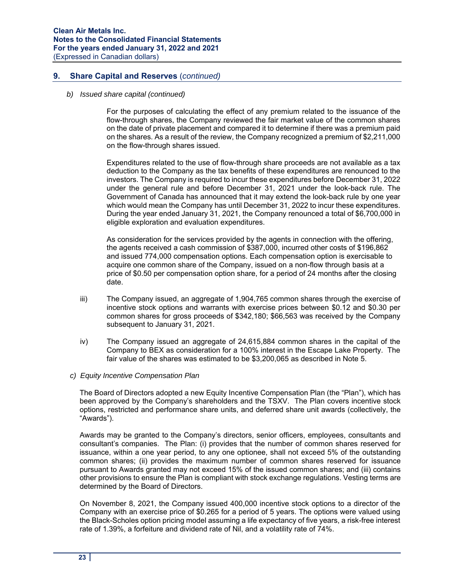#### *b) Issued share capital (continued)*

For the purposes of calculating the effect of any premium related to the issuance of the flow-through shares, the Company reviewed the fair market value of the common shares on the date of private placement and compared it to determine if there was a premium paid on the shares. As a result of the review, the Company recognized a premium of \$2,211,000 on the flow-through shares issued.

Expenditures related to the use of flow-through share proceeds are not available as a tax deduction to the Company as the tax benefits of these expenditures are renounced to the investors. The Company is required to incur these expenditures before December 31, 2022 under the general rule and before December 31, 2021 under the look-back rule. The Government of Canada has announced that it may extend the look-back rule by one year which would mean the Company has until December 31, 2022 to incur these expenditures. During the year ended January 31, 2021, the Company renounced a total of \$6,700,000 in eligible exploration and evaluation expenditures.

As consideration for the services provided by the agents in connection with the offering, the agents received a cash commission of \$387,000, incurred other costs of \$196,862 and issued 774,000 compensation options. Each compensation option is exercisable to acquire one common share of the Company, issued on a non-flow through basis at a price of \$0.50 per compensation option share, for a period of 24 months after the closing date.

- iii) The Company issued, an aggregate of 1,904,765 common shares through the exercise of incentive stock options and warrants with exercise prices between \$0.12 and \$0.30 per common shares for gross proceeds of \$342,180; \$66,563 was received by the Company subsequent to January 31, 2021.
- iv) The Company issued an aggregate of 24,615,884 common shares in the capital of the Company to BEX as consideration for a 100% interest in the Escape Lake Property. The fair value of the shares was estimated to be \$3,200,065 as described in Note 5.

#### *c) Equity Incentive Compensation Plan*

The Board of Directors adopted a new Equity Incentive Compensation Plan (the "Plan"), which has been approved by the Company's shareholders and the TSXV. The Plan covers incentive stock options, restricted and performance share units, and deferred share unit awards (collectively, the "Awards").

Awards may be granted to the Company's directors, senior officers, employees, consultants and consultant's companies. The Plan: (i) provides that the number of common shares reserved for issuance, within a one year period, to any one optionee, shall not exceed 5% of the outstanding common shares; (ii) provides the maximum number of common shares reserved for issuance pursuant to Awards granted may not exceed 15% of the issued common shares; and (iii) contains other provisions to ensure the Plan is compliant with stock exchange regulations. Vesting terms are determined by the Board of Directors.

On November 8, 2021, the Company issued 400,000 incentive stock options to a director of the Company with an exercise price of \$0.265 for a period of 5 years. The options were valued using the Black-Scholes option pricing model assuming a life expectancy of five years, a risk-free interest rate of 1.39%, a forfeiture and dividend rate of Nil, and a volatility rate of 74%.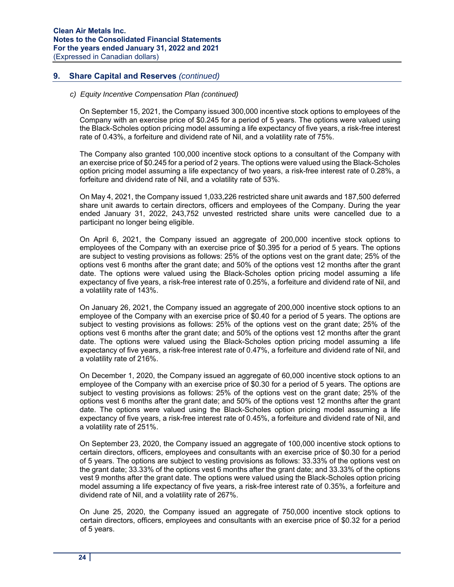#### *c) Equity Incentive Compensation Plan (continued)*

On September 15, 2021, the Company issued 300,000 incentive stock options to employees of the Company with an exercise price of \$0.245 for a period of 5 years. The options were valued using the Black-Scholes option pricing model assuming a life expectancy of five years, a risk-free interest rate of 0.43%, a forfeiture and dividend rate of Nil, and a volatility rate of 75%.

The Company also granted 100,000 incentive stock options to a consultant of the Company with an exercise price of \$0.245 for a period of 2 years. The options were valued using the Black-Scholes option pricing model assuming a life expectancy of two years, a risk-free interest rate of 0.28%, a forfeiture and dividend rate of Nil, and a volatility rate of 53%.

On May 4, 2021, the Company issued 1,033,226 restricted share unit awards and 187,500 deferred share unit awards to certain directors, officers and employees of the Company. During the year ended January 31, 2022, 243,752 unvested restricted share units were cancelled due to a participant no longer being eligible.

On April 6, 2021, the Company issued an aggregate of 200,000 incentive stock options to employees of the Company with an exercise price of \$0.395 for a period of 5 years. The options are subject to vesting provisions as follows: 25% of the options vest on the grant date; 25% of the options vest 6 months after the grant date; and 50% of the options vest 12 months after the grant date. The options were valued using the Black-Scholes option pricing model assuming a life expectancy of five years, a risk-free interest rate of 0.25%, a forfeiture and dividend rate of Nil, and a volatility rate of 143%.

On January 26, 2021, the Company issued an aggregate of 200,000 incentive stock options to an employee of the Company with an exercise price of \$0.40 for a period of 5 years. The options are subject to vesting provisions as follows: 25% of the options vest on the grant date; 25% of the options vest 6 months after the grant date; and 50% of the options vest 12 months after the grant date. The options were valued using the Black-Scholes option pricing model assuming a life expectancy of five years, a risk-free interest rate of 0.47%, a forfeiture and dividend rate of Nil, and a volatility rate of 216%.

On December 1, 2020, the Company issued an aggregate of 60,000 incentive stock options to an employee of the Company with an exercise price of \$0.30 for a period of 5 years. The options are subject to vesting provisions as follows: 25% of the options vest on the grant date; 25% of the options vest 6 months after the grant date; and 50% of the options vest 12 months after the grant date. The options were valued using the Black-Scholes option pricing model assuming a life expectancy of five years, a risk-free interest rate of 0.45%, a forfeiture and dividend rate of Nil, and a volatility rate of 251%.

On September 23, 2020, the Company issued an aggregate of 100,000 incentive stock options to certain directors, officers, employees and consultants with an exercise price of \$0.30 for a period of 5 years. The options are subject to vesting provisions as follows: 33.33% of the options vest on the grant date; 33.33% of the options vest 6 months after the grant date; and 33.33% of the options vest 9 months after the grant date. The options were valued using the Black-Scholes option pricing model assuming a life expectancy of five years, a risk-free interest rate of 0.35%, a forfeiture and dividend rate of Nil, and a volatility rate of 267%.

On June 25, 2020, the Company issued an aggregate of 750,000 incentive stock options to certain directors, officers, employees and consultants with an exercise price of \$0.32 for a period of 5 years.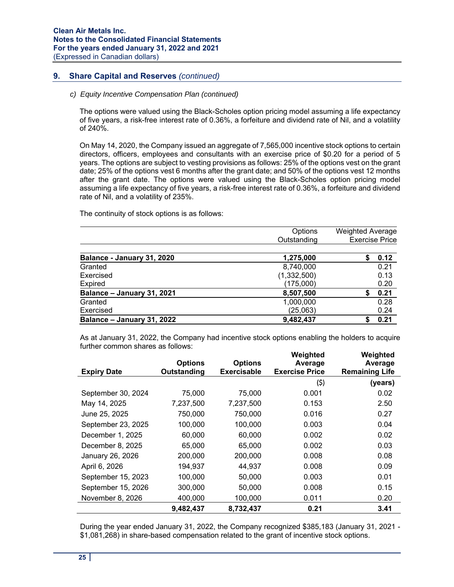#### *c) Equity Incentive Compensation Plan (continued)*

The options were valued using the Black-Scholes option pricing model assuming a life expectancy of five years, a risk-free interest rate of 0.36%, a forfeiture and dividend rate of Nil, and a volatility of 240%.

On May 14, 2020, the Company issued an aggregate of 7,565,000 incentive stock options to certain directors, officers, employees and consultants with an exercise price of \$0.20 for a period of 5 years. The options are subject to vesting provisions as follows: 25% of the options vest on the grant date; 25% of the options vest 6 months after the grant date; and 50% of the options vest 12 months after the grant date. The options were valued using the Black-Scholes option pricing model assuming a life expectancy of five years, a risk-free interest rate of 0.36%, a forfeiture and dividend rate of Nil, and a volatility of 235%.

The continuity of stock options is as follows:

|                            | Options     | Weighted Average      |
|----------------------------|-------------|-----------------------|
|                            | Outstanding | <b>Exercise Price</b> |
|                            |             |                       |
| Balance - January 31, 2020 | 1,275,000   | 0.12<br>S             |
| Granted                    | 8,740,000   | 0.21                  |
| Exercised                  | (1,332,500) | 0.13                  |
| Expired                    | (175,000)   | 0.20                  |
| Balance - January 31, 2021 | 8,507,500   | 0.21                  |
| Granted                    | 1,000,000   | 0.28                  |
| Exercised                  | (25,063)    | 0.24                  |
| Balance - January 31, 2022 | 9,482,437   | 0.21                  |

As at January 31, 2022, the Company had incentive stock options enabling the holders to acquire further common shares as follows:

|                    |                               |                                      | Weighted                         | Weighted                         |
|--------------------|-------------------------------|--------------------------------------|----------------------------------|----------------------------------|
| <b>Expiry Date</b> | <b>Options</b><br>Outstanding | <b>Options</b><br><b>Exercisable</b> | Average<br><b>Exercise Price</b> | Average<br><b>Remaining Life</b> |
|                    |                               |                                      |                                  |                                  |
|                    |                               |                                      | (\$)                             | (years)                          |
| September 30, 2024 | 75,000                        | 75,000                               | 0.001                            | 0.02                             |
| May 14, 2025       | 7,237,500                     | 7,237,500                            | 0.153                            | 2.50                             |
| June 25, 2025      | 750,000                       | 750,000                              | 0.016                            | 0.27                             |
| September 23, 2025 | 100,000                       | 100,000                              | 0.003                            | 0.04                             |
| December 1, 2025   | 60,000                        | 60,000                               | 0.002                            | 0.02                             |
| December 8, 2025   | 65,000                        | 65,000                               | 0.002                            | 0.03                             |
| January 26, 2026   | 200,000                       | 200,000                              | 0.008                            | 0.08                             |
| April 6, 2026      | 194,937                       | 44,937                               | 0.008                            | 0.09                             |
| September 15, 2023 | 100,000                       | 50,000                               | 0.003                            | 0.01                             |
| September 15, 2026 | 300,000                       | 50,000                               | 0.008                            | 0.15                             |
| November 8, 2026   | 400,000                       | 100,000                              | 0.011                            | 0.20                             |
|                    | 9,482,437                     | 8,732,437                            | 0.21                             | 3.41                             |

During the year ended January 31, 2022, the Company recognized \$385,183 (January 31, 2021 - \$1,081,268) in share-based compensation related to the grant of incentive stock options.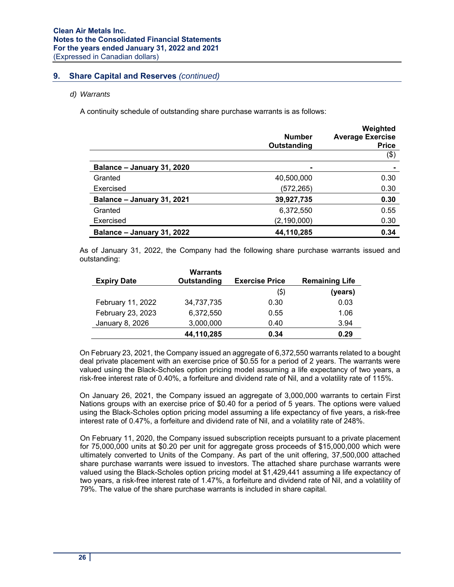# *d) Warrants*

A continuity schedule of outstanding share purchase warrants is as follows:

|                            | <b>Number</b><br>Outstanding | Weighted<br><b>Average Exercise</b><br><b>Price</b> |
|----------------------------|------------------------------|-----------------------------------------------------|
|                            |                              | (\$)                                                |
| Balance - January 31, 2020 |                              |                                                     |
| Granted                    | 40,500,000                   | 0.30                                                |
| Exercised                  | (572,265)                    | 0.30                                                |
| Balance - January 31, 2021 | 39,927,735                   | 0.30                                                |
| Granted                    | 6,372,550                    | 0.55                                                |
| Exercised                  | (2, 190, 000)                | 0.30                                                |
| Balance - January 31, 2022 | 44,110,285                   | 0.34                                                |

As of January 31, 2022, the Company had the following share purchase warrants issued and outstanding:

| <b>Expiry Date</b> | <b>Warrants</b><br>Outstanding | <b>Exercise Price</b> | <b>Remaining Life</b> |
|--------------------|--------------------------------|-----------------------|-----------------------|
|                    |                                | (\$)                  | (years)               |
| February 11, 2022  | 34,737,735                     | 0.30                  | 0.03                  |
| February 23, 2023  | 6,372,550                      | 0.55                  | 1.06                  |
| January 8, 2026    | 3,000,000                      | 0.40                  | 3.94                  |
|                    | 44,110,285                     | 0.34                  | 0.29                  |

On February 23, 2021, the Company issued an aggregate of 6,372,550 warrants related to a bought deal private placement with an exercise price of \$0.55 for a period of 2 years. The warrants were valued using the Black-Scholes option pricing model assuming a life expectancy of two years, a risk-free interest rate of 0.40%, a forfeiture and dividend rate of Nil, and a volatility rate of 115%.

On January 26, 2021, the Company issued an aggregate of 3,000,000 warrants to certain First Nations groups with an exercise price of \$0.40 for a period of 5 years. The options were valued using the Black-Scholes option pricing model assuming a life expectancy of five years, a risk-free interest rate of 0.47%, a forfeiture and dividend rate of Nil, and a volatility rate of 248%.

On February 11, 2020, the Company issued subscription receipts pursuant to a private placement for 75,000,000 units at \$0.20 per unit for aggregate gross proceeds of \$15,000,000 which were ultimately converted to Units of the Company. As part of the unit offering, 37,500,000 attached share purchase warrants were issued to investors. The attached share purchase warrants were valued using the Black-Scholes option pricing model at \$1,429,441 assuming a life expectancy of two years, a risk-free interest rate of 1.47%, a forfeiture and dividend rate of Nil, and a volatility of 79%. The value of the share purchase warrants is included in share capital.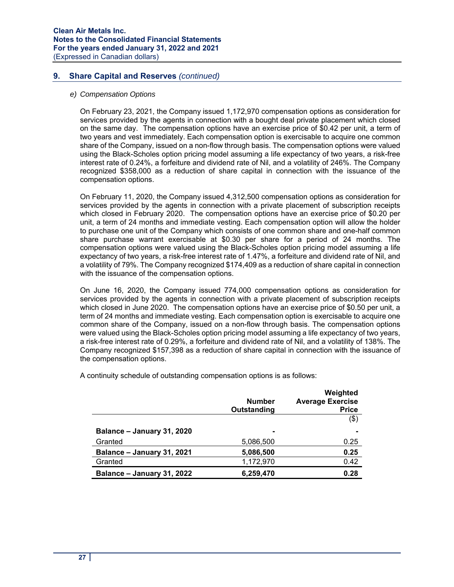# *e) Compensation Options*

On February 23, 2021, the Company issued 1,172,970 compensation options as consideration for services provided by the agents in connection with a bought deal private placement which closed on the same day. The compensation options have an exercise price of \$0.42 per unit, a term of two years and vest immediately. Each compensation option is exercisable to acquire one common share of the Company, issued on a non-flow through basis. The compensation options were valued using the Black-Scholes option pricing model assuming a life expectancy of two years, a risk-free interest rate of 0.24%, a forfeiture and dividend rate of Nil, and a volatility of 246%. The Company recognized \$358,000 as a reduction of share capital in connection with the issuance of the compensation options.

On February 11, 2020, the Company issued 4,312,500 compensation options as consideration for services provided by the agents in connection with a private placement of subscription receipts which closed in February 2020. The compensation options have an exercise price of \$0.20 per unit, a term of 24 months and immediate vesting. Each compensation option will allow the holder to purchase one unit of the Company which consists of one common share and one-half common share purchase warrant exercisable at \$0.30 per share for a period of 24 months. The compensation options were valued using the Black-Scholes option pricing model assuming a life expectancy of two years, a risk-free interest rate of 1.47%, a forfeiture and dividend rate of Nil, and a volatility of 79%. The Company recognized \$174,409 as a reduction of share capital in connection with the issuance of the compensation options.

On June 16, 2020, the Company issued 774,000 compensation options as consideration for services provided by the agents in connection with a private placement of subscription receipts which closed in June 2020. The compensation options have an exercise price of \$0.50 per unit, a term of 24 months and immediate vesting. Each compensation option is exercisable to acquire one common share of the Company, issued on a non-flow through basis. The compensation options were valued using the Black-Scholes option pricing model assuming a life expectancy of two years, a risk-free interest rate of 0.29%, a forfeiture and dividend rate of Nil, and a volatility of 138%. The Company recognized \$157,398 as a reduction of share capital in connection with the issuance of the compensation options.

A continuity schedule of outstanding compensation options is as follows:

|                            | <b>Number</b><br>Outstanding | Weighted<br><b>Average Exercise</b><br><b>Price</b> |
|----------------------------|------------------------------|-----------------------------------------------------|
|                            |                              | (\$)                                                |
| Balance - January 31, 2020 | ۰                            |                                                     |
| Granted                    | 5,086,500                    | 0.25                                                |
| Balance - January 31, 2021 | 5,086,500                    | 0.25                                                |
| Granted                    | 1,172,970                    | 0.42                                                |
| Balance - January 31, 2022 | 6,259,470                    | 0.28                                                |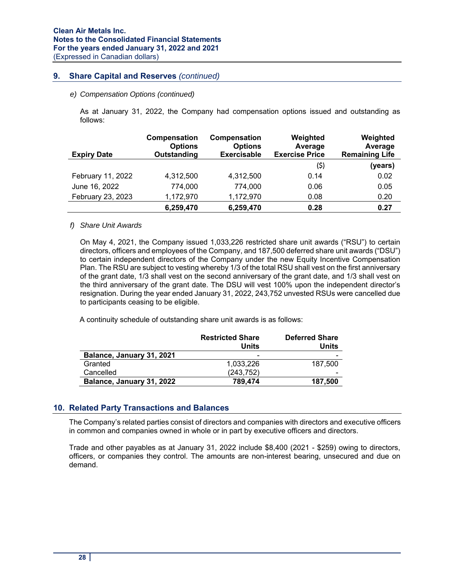#### *e) Compensation Options (continued)*

As at January 31, 2022, the Company had compensation options issued and outstanding as follows:

| <b>Expiry Date</b> | Compensation<br><b>Options</b><br><b>Outstanding</b> | Compensation<br><b>Options</b><br><b>Exercisable</b> | Weighted<br>Average<br><b>Exercise Price</b> | Weighted<br>Average<br><b>Remaining Life</b> |
|--------------------|------------------------------------------------------|------------------------------------------------------|----------------------------------------------|----------------------------------------------|
|                    |                                                      |                                                      | (\$)                                         | (years)                                      |
| February 11, 2022  | 4,312,500                                            | 4,312,500                                            | 0.14                                         | 0.02                                         |
| June 16, 2022      | 774,000                                              | 774,000                                              | 0.06                                         | 0.05                                         |
| February 23, 2023  | 1,172,970                                            | 1,172,970                                            | 0.08                                         | 0.20                                         |
|                    | 6,259,470                                            | 6,259,470                                            | 0.28                                         | 0.27                                         |

#### *f) Share Unit Awards*

On May 4, 2021, the Company issued 1,033,226 restricted share unit awards ("RSU") to certain directors, officers and employees of the Company, and 187,500 deferred share unit awards ("DSU") to certain independent directors of the Company under the new Equity Incentive Compensation Plan. The RSU are subject to vesting whereby 1/3 of the total RSU shall vest on the first anniversary of the grant date, 1/3 shall vest on the second anniversary of the grant date, and 1/3 shall vest on the third anniversary of the grant date. The DSU will vest 100% upon the independent director's resignation. During the year ended January 31, 2022, 243,752 unvested RSUs were cancelled due to participants ceasing to be eligible.

A continuity schedule of outstanding share unit awards is as follows:

|                           | <b>Restricted Share</b><br>Units | <b>Deferred Share</b><br>Units |
|---------------------------|----------------------------------|--------------------------------|
| Balance, January 31, 2021 | -                                |                                |
| Granted                   | 1.033.226                        | 187.500                        |
| Cancelled                 | (243, 752)                       | -                              |
| Balance, January 31, 2022 | 789.474                          | 187,500                        |

# **10. Related Party Transactions and Balances**

The Company's related parties consist of directors and companies with directors and executive officers in common and companies owned in whole or in part by executive officers and directors.

Trade and other payables as at January 31, 2022 include \$8,400 (2021 - \$259) owing to directors, officers, or companies they control. The amounts are non-interest bearing, unsecured and due on demand.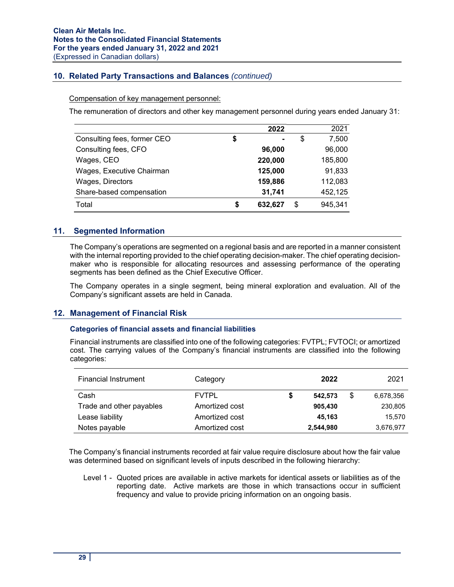# **10. Related Party Transactions and Balances** *(continued)*

#### Compensation of key management personnel:

The remuneration of directors and other key management personnel during years ended January 31:

|                             | 2022                 | 2021          |
|-----------------------------|----------------------|---------------|
| Consulting fees, former CEO | \$<br>$\blacksquare$ | \$<br>7,500   |
| Consulting fees, CFO        | 96,000               | 96,000        |
| Wages, CEO                  | 220,000              | 185,800       |
| Wages, Executive Chairman   | 125,000              | 91,833        |
| Wages, Directors            | 159,886              | 112,083       |
| Share-based compensation    | 31,741               | 452,125       |
| Total                       | \$<br>632,627        | \$<br>945,341 |

# **11. Segmented Information**

The Company's operations are segmented on a regional basis and are reported in a manner consistent with the internal reporting provided to the chief operating decision-maker. The chief operating decisionmaker who is responsible for allocating resources and assessing performance of the operating segments has been defined as the Chief Executive Officer.

The Company operates in a single segment, being mineral exploration and evaluation. All of the Company's significant assets are held in Canada.

# **12. Management of Financial Risk**

# **Categories of financial assets and financial liabilities**

Financial instruments are classified into one of the following categories: FVTPL; FVTOCI; or amortized cost. The carrying values of the Company's financial instruments are classified into the following categories:

| Financial Instrument     | Category       |   | 2022      | 2021            |
|--------------------------|----------------|---|-----------|-----------------|
| Cash                     | <b>FVTPL</b>   | S | 542.573   | \$<br>6,678,356 |
| Trade and other payables | Amortized cost |   | 905,430   | 230,805         |
| Lease liability          | Amortized cost |   | 45.163    | 15.570          |
| Notes payable            | Amortized cost |   | 2,544,980 | 3,676,977       |

The Company's financial instruments recorded at fair value require disclosure about how the fair value was determined based on significant levels of inputs described in the following hierarchy:

Level 1 - Quoted prices are available in active markets for identical assets or liabilities as of the reporting date. Active markets are those in which transactions occur in sufficient frequency and value to provide pricing information on an ongoing basis.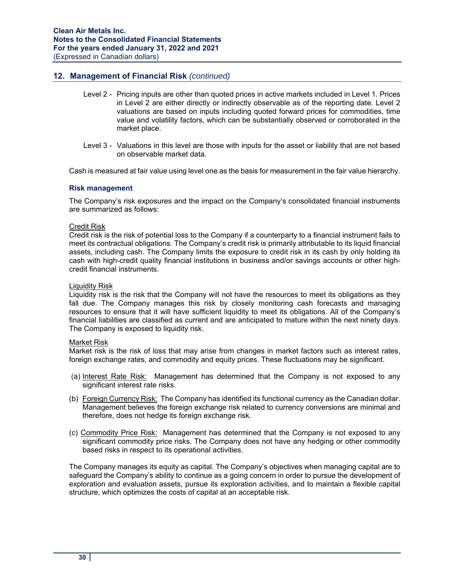# **12. Management of Financial Risk** *(continued)*

- Level 2 Pricing inputs are other than quoted prices in active markets included in Level 1. Prices in Level 2 are either directly or indirectly observable as of the reporting date. Level 2 valuations are based on inputs including quoted forward prices for commodities, time value and volatility factors, which can be substantially observed or corroborated in the market place.
- Level 3 Valuations in this level are those with inputs for the asset or liability that are not based on observable market data.

Cash is measured at fair value using level one as the basis for measurement in the fair value hierarchy.

#### **Risk management**

The Company's risk exposures and the impact on the Company's consolidated financial instruments are summarized as follows:

#### Credit Risk

Credit risk is the risk of potential loss to the Company if a counterparty to a financial instrument fails to meet its contractual obligations. The Company's credit risk is primarily attributable to its liquid financial assets, including cash. The Company limits the exposure to credit risk in its cash by only holding its cash with high-credit quality financial institutions in business and/or savings accounts or other highcredit financial instruments.

#### Liquidity Risk

Liquidity risk is the risk that the Company will not have the resources to meet its obligations as they fall due. The Company manages this risk by closely monitoring cash forecasts and managing resources to ensure that it will have sufficient liquidity to meet its obligations. All of the Company's financial liabilities are classified as current and are anticipated to mature within the next ninety days. The Company is exposed to liquidity risk.

#### Market Risk

Market risk is the risk of loss that may arise from changes in market factors such as interest rates, foreign exchange rates, and commodity and equity prices. These fluctuations may be significant.

- (a) Interest Rate Risk: Management has determined that the Company is not exposed to any significant interest rate risks.
- (b) Foreign Currency Risk: The Company has identified its functional currency as the Canadian dollar. Management believes the foreign exchange risk related to currency conversions are minimal and therefore, does not hedge its foreign exchange risk.
- (c) Commodity Price Risk: Management has determined that the Company is not exposed to any significant commodity price risks. The Company does not have any hedging or other commodity based risks in respect to its operational activities.

The Company manages its equity as capital. The Company's objectives when managing capital are to safeguard the Company's ability to continue as a going concern in order to pursue the development of exploration and evaluation assets, pursue its exploration activities, and to maintain a flexible capital structure, which optimizes the costs of capital at an acceptable risk.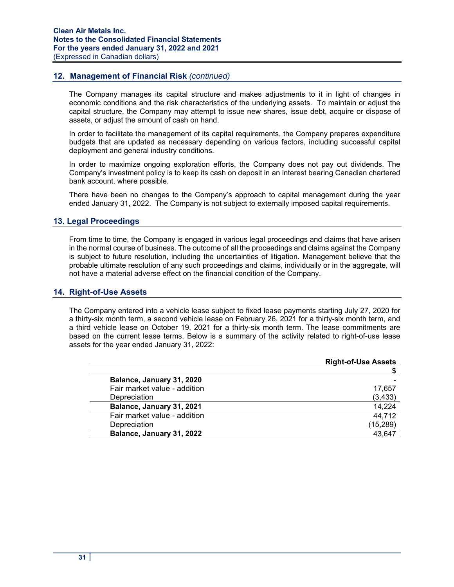# **12. Management of Financial Risk** *(continued)*

The Company manages its capital structure and makes adjustments to it in light of changes in economic conditions and the risk characteristics of the underlying assets. To maintain or adjust the capital structure, the Company may attempt to issue new shares, issue debt, acquire or dispose of assets, or adjust the amount of cash on hand.

In order to facilitate the management of its capital requirements, the Company prepares expenditure budgets that are updated as necessary depending on various factors, including successful capital deployment and general industry conditions.

In order to maximize ongoing exploration efforts, the Company does not pay out dividends. The Company's investment policy is to keep its cash on deposit in an interest bearing Canadian chartered bank account, where possible.

There have been no changes to the Company's approach to capital management during the year ended January 31, 2022. The Company is not subject to externally imposed capital requirements.

# **13. Legal Proceedings**

From time to time, the Company is engaged in various legal proceedings and claims that have arisen in the normal course of business. The outcome of all the proceedings and claims against the Company is subject to future resolution, including the uncertainties of litigation. Management believe that the probable ultimate resolution of any such proceedings and claims, individually or in the aggregate, will not have a material adverse effect on the financial condition of the Company.

# **14. Right-of-Use Assets**

The Company entered into a vehicle lease subject to fixed lease payments starting July 27, 2020 for a thirty-six month term, a second vehicle lease on February 26, 2021 for a thirty-six month term, and a third vehicle lease on October 19, 2021 for a thirty-six month term. The lease commitments are based on the current lease terms. Below is a summary of the activity related to right-of-use lease assets for the year ended January 31, 2022:

|                              | <b>Right-of-Use Assets</b> |
|------------------------------|----------------------------|
|                              |                            |
| Balance, January 31, 2020    |                            |
| Fair market value - addition | 17,657                     |
| Depreciation                 | (3, 433)                   |
| Balance, January 31, 2021    | 14,224                     |
| Fair market value - addition | 44,712                     |
| Depreciation                 | (15, 289)                  |
| Balance, January 31, 2022    | 43,647                     |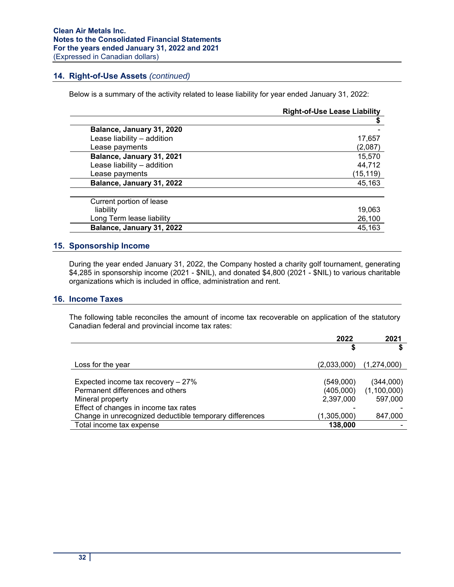# **14. Right-of-Use Assets** *(continued)*

Below is a summary of the activity related to lease liability for year ended January 31, 2022:

|                            | <b>Right-of-Use Lease Liability</b> |
|----------------------------|-------------------------------------|
|                            |                                     |
| Balance, January 31, 2020  |                                     |
| Lease liability - addition | 17,657                              |
| Lease payments             | (2,087)                             |
| Balance, January 31, 2021  | 15,570                              |
| Lease liability - addition | 44,712                              |
| Lease payments             | (15,119)                            |
| Balance, January 31, 2022  | 45,163                              |
|                            |                                     |
| Current portion of lease   |                                     |
| liability                  | 19,063                              |
| Long Term lease liability  | 26,100                              |
| Balance, January 31, 2022  | 45.163                              |

# **15. Sponsorship Income**

During the year ended January 31, 2022, the Company hosted a charity golf tournament, generating \$4,285 in sponsorship income (2021 - \$NIL), and donated \$4,800 (2021 - \$NIL) to various charitable organizations which is included in office, administration and rent.

# **16. Income Taxes**

The following table reconciles the amount of income tax recoverable on application of the statutory Canadian federal and provincial income tax rates:

|                                                                                                  | 2022        | 2021        |
|--------------------------------------------------------------------------------------------------|-------------|-------------|
|                                                                                                  |             |             |
| Loss for the year                                                                                | (2,033,000) | (1,274,000) |
| Expected income tax recovery $-27\%$                                                             | (549,000)   | (344,000)   |
| Permanent differences and others                                                                 | (405,000)   | (1,100,000) |
| Mineral property                                                                                 | 2,397,000   | 597,000     |
| Effect of changes in income tax rates<br>Change in unrecognized deductible temporary differences | (1,305,000) | 847,000     |
| Total income tax expense                                                                         | 138,000     |             |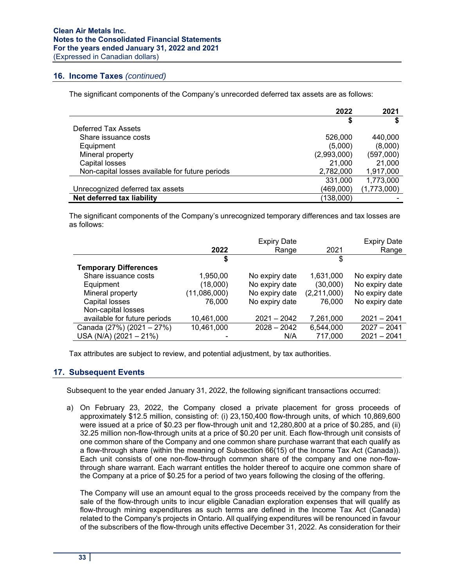# **16. Income Taxes** *(continued)*

The significant components of the Company's unrecorded deferred tax assets are as follows:

|                                                 | 2022        | 2021        |
|-------------------------------------------------|-------------|-------------|
|                                                 | S           |             |
| Deferred Tax Assets                             |             |             |
| Share issuance costs                            | 526,000     | 440.000     |
| Equipment                                       | (5,000)     | (8,000)     |
| Mineral property                                | (2,993,000) | (597,000)   |
| Capital losses                                  | 21,000      | 21.000      |
| Non-capital losses available for future periods | 2,782,000   | 1,917,000   |
|                                                 | 331,000     | 1,773,000   |
| Unrecognized deferred tax assets                | (469,000)   | (1,773,000) |
| Net deferred tax liability                      | (138,000)   |             |

The significant components of the Company's unrecognized temporary differences and tax losses are as follows:

|                              |              | <b>Expiry Date</b> |             | <b>Expiry Date</b> |
|------------------------------|--------------|--------------------|-------------|--------------------|
|                              | 2022         | Range              | 2021        | Range              |
|                              | \$           |                    | \$          |                    |
| <b>Temporary Differences</b> |              |                    |             |                    |
| Share issuance costs         | 1,950,00     | No expiry date     | 1,631,000   | No expiry date     |
| Equipment                    | (18,000)     | No expiry date     | (30,000)    | No expiry date     |
| Mineral property             | (11,086,000) | No expiry date     | (2,211,000) | No expiry date     |
| Capital losses               | 76,000       | No expiry date     | 76,000      | No expiry date     |
| Non-capital losses           |              |                    |             |                    |
| available for future periods | 10,461,000   | $2021 - 2042$      | 7,261,000   | $2021 - 2041$      |
| Canada (27%) (2021 - 27%)    | 10,461,000   | $2028 - 2042$      | 6,544,000   | $2027 - 2041$      |
| USA (N/A) $(2021 - 21\%)$    |              | N/A                | 717,000     | $2021 - 2041$      |

Tax attributes are subject to review, and potential adjustment, by tax authorities.

# **17. Subsequent Events**

Subsequent to the year ended January 31, 2022, the following significant transactions occurred:

a) On February 23, 2022, the Company closed a private placement for gross proceeds of approximately \$12.5 million, consisting of: (i) 23,150,400 flow-through units, of which 10,869,600 were issued at a price of \$0.23 per flow-through unit and 12,280,800 at a price of \$0.285, and (ii) 32.25 million non-flow-through units at a price of \$0.20 per unit. Each flow-through unit consists of one common share of the Company and one common share purchase warrant that each qualify as a flow-through share (within the meaning of Subsection 66(15) of the Income Tax Act (Canada)). Each unit consists of one non-flow-through common share of the company and one non-flowthrough share warrant. Each warrant entitles the holder thereof to acquire one common share of the Company at a price of \$0.25 for a period of two years following the closing of the offering.

The Company will use an amount equal to the gross proceeds received by the company from the sale of the flow-through units to incur eligible Canadian exploration expenses that will qualify as flow-through mining expenditures as such terms are defined in the Income Tax Act (Canada) related to the Company's projects in Ontario. All qualifying expenditures will be renounced in favour of the subscribers of the flow-through units effective December 31, 2022. As consideration for their